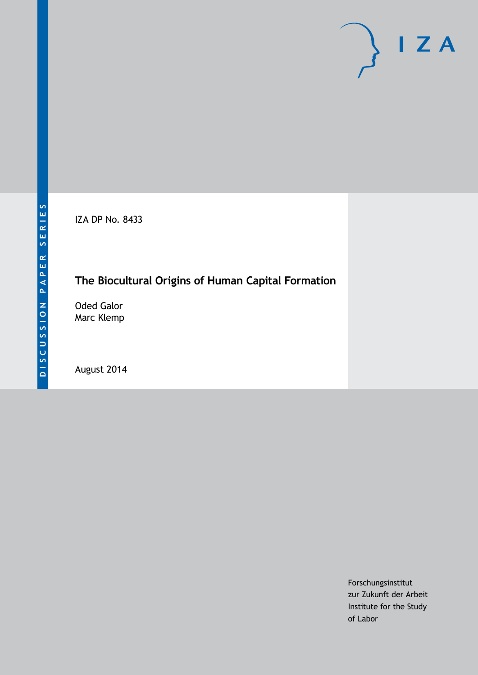IZA DP No. 8433

## **The Biocultural Origins of Human Capital Formation**

Oded Galor Marc Klemp

August 2014

Forschungsinstitut zur Zukunft der Arbeit Institute for the Study of Labor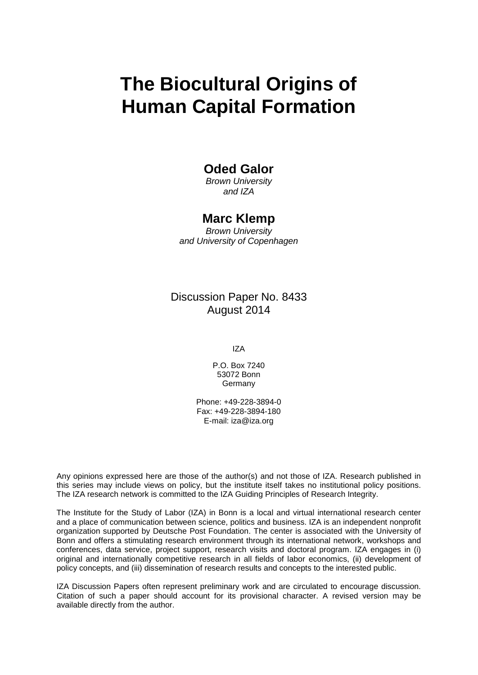# **The Biocultural Origins of Human Capital Formation**

## **Oded Galor**

*Brown University and IZA*

## **Marc Klemp**

*Brown University and University of Copenhagen*

## Discussion Paper No. 8433 August 2014

IZA

P.O. Box 7240 53072 Bonn **Germany** 

Phone: +49-228-3894-0 Fax: +49-228-3894-180 E-mail: [iza@iza.org](mailto:iza@iza.org)

Any opinions expressed here are those of the author(s) and not those of IZA. Research published in this series may include views on policy, but the institute itself takes no institutional policy positions. The IZA research network is committed to the IZA Guiding Principles of Research Integrity.

The Institute for the Study of Labor (IZA) in Bonn is a local and virtual international research center and a place of communication between science, politics and business. IZA is an independent nonprofit organization supported by Deutsche Post Foundation. The center is associated with the University of Bonn and offers a stimulating research environment through its international network, workshops and conferences, data service, project support, research visits and doctoral program. IZA engages in (i) original and internationally competitive research in all fields of labor economics, (ii) development of policy concepts, and (iii) dissemination of research results and concepts to the interested public.

<span id="page-1-0"></span>IZA Discussion Papers often represent preliminary work and are circulated to encourage discussion. Citation of such a paper should account for its provisional character. A revised version may be available directly from the author.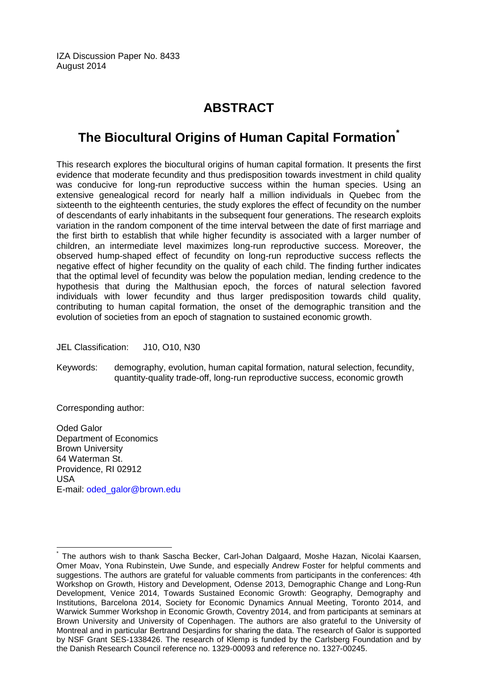IZA Discussion Paper No. 8433 August 2014

## **ABSTRACT**

## **The Biocultural Origins of Human Capital Formation[\\*](#page-1-0)**

This research explores the biocultural origins of human capital formation. It presents the first evidence that moderate fecundity and thus predisposition towards investment in child quality was conducive for long-run reproductive success within the human species. Using an extensive genealogical record for nearly half a million individuals in Quebec from the sixteenth to the eighteenth centuries, the study explores the effect of fecundity on the number of descendants of early inhabitants in the subsequent four generations. The research exploits variation in the random component of the time interval between the date of first marriage and the first birth to establish that while higher fecundity is associated with a larger number of children, an intermediate level maximizes long-run reproductive success. Moreover, the observed hump-shaped effect of fecundity on long-run reproductive success reflects the negative effect of higher fecundity on the quality of each child. The finding further indicates that the optimal level of fecundity was below the population median, lending credence to the hypothesis that during the Malthusian epoch, the forces of natural selection favored individuals with lower fecundity and thus larger predisposition towards child quality, contributing to human capital formation, the onset of the demographic transition and the evolution of societies from an epoch of stagnation to sustained economic growth.

JEL Classification: J10, O10, N30

Keywords: demography, evolution, human capital formation, natural selection, fecundity, quantity-quality trade-off, long-run reproductive success, economic growth

Corresponding author:

Oded Galor Department of Economics Brown University 64 Waterman St. Providence, RI 02912 USA E-mail: [oded\\_galor@brown.edu](mailto:oded_galor@brown.edu)

The authors wish to thank Sascha Becker, Carl-Johan Dalgaard, Moshe Hazan, Nicolai Kaarsen, Omer Moav, Yona Rubinstein, Uwe Sunde, and especially Andrew Foster for helpful comments and suggestions. The authors are grateful for valuable comments from participants in the conferences: 4th Workshop on Growth, History and Development, Odense 2013, Demographic Change and Long-Run Development, Venice 2014, Towards Sustained Economic Growth: Geography, Demography and Institutions, Barcelona 2014, Society for Economic Dynamics Annual Meeting, Toronto 2014, and Warwick Summer Workshop in Economic Growth, Coventry 2014, and from participants at seminars at Brown University and University of Copenhagen. The authors are also grateful to the University of Montreal and in particular Bertrand Desjardins for sharing the data. The research of Galor is supported by NSF Grant SES-1338426. The research of Klemp is funded by the Carlsberg Foundation and by the Danish Research Council reference no. 1329-00093 and reference no. 1327-00245.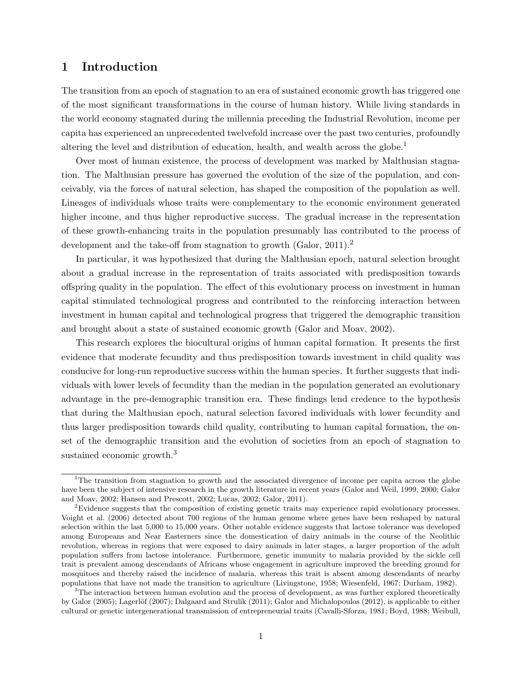## 1 Introduction

The transition from an epoch of stagnation to an era of sustained economic growth has triggered one of the most significant transformations in the course of human history. While living standards in the world economy stagnated during the millennia preceding the Industrial Revolution, income per capita has experienced an unprecedented twelvefold increase over the past two centuries, profoundly altering the level and distribution of education, health, and wealth across the globe.<sup>1</sup>

Over most of human existence, the process of development was marked by Malthusian stagnation. The Malthusian pressure has governed the evolution of the size of the population, and conceivably, via the forces of natural selection, has shaped the composition of the population as well. Lineages of individuals whose traits were complementary to the economic environment generated higher income, and thus higher reproductive success. The gradual increase in the representation of these growth-enhancing traits in the population presumably has contributed to the process of development and the take-off from stagnation to growth  $(Gabor, 2011).<sup>2</sup>$ 

In particular, it was hypothesized that during the Malthusian epoch, natural selection brought about a gradual increase in the representation of traits associated with predisposition towards offspring quality in the population. The effect of this evolutionary process on investment in human capital stimulated technological progress and contributed to the reinforcing interaction between investment in human capital and technological progress that triggered the demographic transition and brought about a state of sustained economic growth [\(Galor and Moav, 2002\)](#page-37-0).

This research explores the biocultural origins of human capital formation. It presents the first evidence that moderate fecundity and thus predisposition towards investment in child quality was conducive for long-run reproductive success within the human species. It further suggests that individuals with lower levels of fecundity than the median in the population generated an evolutionary advantage in the pre-demographic transition era. These findings lend credence to the hypothesis that during the Malthusian epoch, natural selection favored individuals with lower fecundity and thus larger predisposition towards child quality, contributing to human capital formation, the onset of the demographic transition and the evolution of societies from an epoch of stagnation to sustained economic growth.<sup>3</sup>

<sup>&</sup>lt;sup>1</sup>The transition from stagnation to growth and the associated divergence of income per capita across the globe have been the subject of intensive research in the growth literature in recent years [\(Galor and Weil, 1999,](#page-37-1) [2000;](#page-37-2) [Galor](#page-37-0) [and Moav, 2002;](#page-37-0) [Hansen and Prescott, 2002;](#page-37-3) [Lucas, 2002;](#page-38-0) [Galor, 2011\)](#page-37-4).

<sup>&</sup>lt;sup>2</sup>Evidence suggests that the composition of existing genetic traits may experience rapid evolutionary processes. [Voight et al.](#page-39-0) [\(2006\)](#page-39-0) detected about 700 regions of the human genome where genes have been reshaped by natural selection within the last 5,000 to 15,000 years. Other notable evidence suggests that lactose tolerance was developed among Europeans and Near Easterners since the domestication of dairy animals in the course of the Neolithic revolution, whereas in regions that were exposed to dairy animals in later stages, a larger proportion of the adult population suffers from lactose intolerance. Furthermore, genetic immunity to malaria provided by the sickle cell trait is prevalent among descendants of Africans whose engagement in agriculture improved the breeding ground for mosquitoes and thereby raised the incidence of malaria, whereas this trait is absent among descendants of nearby populations that have not made the transition to agriculture [\(Livingstone, 1958;](#page-38-1) [Wiesenfeld, 1967;](#page-39-1) [Durham, 1982\)](#page-37-5).

 $3$ The interaction between human evolution and the process of development, as was further explored theoretically by [Galor](#page-37-6) [\(2005\)](#page-37-6); Lagerlöf [\(2007\)](#page-38-2); [Dalgaard and Strulik](#page-37-7) [\(2011\)](#page-37-7); [Galor and Michalopoulos](#page-37-8) [\(2012\)](#page-37-8), is applicable to either cultural or genetic intergenerational transmission of entrepreneurial traits [\(Cavalli-Sforza, 1981;](#page-36-0) [Boyd, 1988;](#page-36-1) [Weibull,](#page-39-2)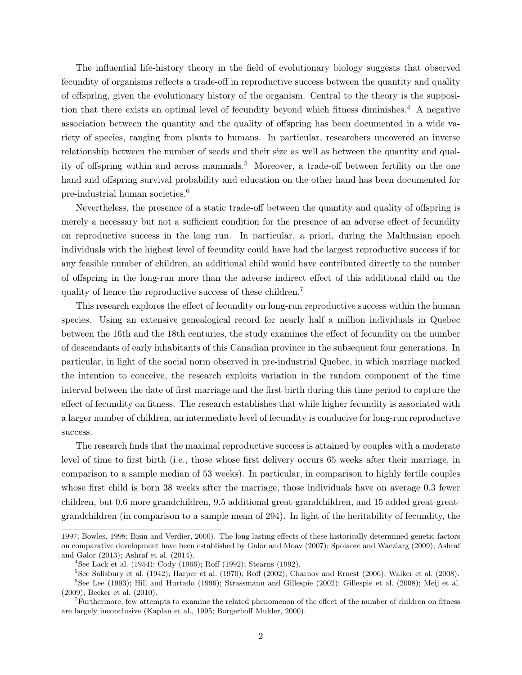The influential life-history theory in the field of evolutionary biology suggests that observed fecundity of organisms reflects a trade-off in reproductive success between the quantity and quality of offspring, given the evolutionary history of the organism. Central to the theory is the supposition that there exists an optimal level of fecundity beyond which fitness diminishes.<sup>4</sup> A negative association between the quantity and the quality of offspring has been documented in a wide variety of species, ranging from plants to humans. In particular, researchers uncovered an inverse relationship between the number of seeds and their size as well as between the quantity and quality of offspring within and across mammals.<sup>5</sup> Moreover, a trade-off between fertility on the one hand and offspring survival probability and education on the other hand has been documented for pre-industrial human societies.<sup>6</sup>

Nevertheless, the presence of a static trade-off between the quantity and quality of offspring is merely a necessary but not a sufficient condition for the presence of an adverse effect of fecundity on reproductive success in the long run. In particular, a priori, during the Malthusian epoch individuals with the highest level of fecundity could have had the largest reproductive success if for any feasible number of children, an additional child would have contributed directly to the number of offspring in the long-run more than the adverse indirect effect of this additional child on the quality of hence the reproductive success of these children.<sup>7</sup>

This research explores the effect of fecundity on long-run reproductive success within the human species. Using an extensive genealogical record for nearly half a million individuals in Quebec between the 16th and the 18th centuries, the study examines the effect of fecundity on the number of descendants of early inhabitants of this Canadian province in the subsequent four generations. In particular, in light of the social norm observed in pre-industrial Quebec, in which marriage marked the intention to conceive, the research exploits variation in the random component of the time interval between the date of first marriage and the first birth during this time period to capture the effect of fecundity on fitness. The research establishes that while higher fecundity is associated with a larger number of children, an intermediate level of fecundity is conducive for long-run reproductive success.

The research finds that the maximal reproductive success is attained by couples with a moderate level of time to first birth (i.e., those whose first delivery occurs 65 weeks after their marriage, in comparison to a sample median of 53 weeks). In particular, in comparison to highly fertile couples whose first child is born 38 weeks after the marriage, those individuals have on average 0.3 fewer children, but 0.6 more grandchildren, 9.5 additional great-grandchildren, and 15 added great-greatgrandchildren (in comparison to a sample mean of 294). In light of the heritability of fecundity, the

 $5$ See [Salisbury et al.](#page-39-6) [\(1942\)](#page-39-6); [Harper et al.](#page-37-11) [\(1970\)](#page-37-11); [Ro](#page-39-7)ff [\(2002\)](#page-39-7); [Charnov and Ernest](#page-36-6) [\(2006\)](#page-36-6); [Walker et al.](#page-39-8) [\(2008\)](#page-39-8).

[<sup>1997;</sup>](#page-39-2) [Bowles, 1998;](#page-36-2) [Bisin and Verdier, 2000\)](#page-36-3). The long lasting effects of these historically determined genetic factors on comparative development have been established by [Galor and Moav](#page-37-9) [\(2007\)](#page-37-9); [Spolaore and Wacziarg](#page-39-3) [\(2009\)](#page-39-3); [Ashraf](#page-36-4) [and Galor](#page-36-4) [\(2013\)](#page-36-4); [Ashraf et al.](#page-36-5) [\(2014\)](#page-36-5).

<sup>&</sup>lt;sup>4</sup>See [Lack et al.](#page-38-3) [\(1954\)](#page-38-3); [Cody](#page-37-10) [\(1966\)](#page-37-10); [Ro](#page-39-4)ff [\(1992\)](#page-39-5); [Stearns](#page-39-5) (1992).

<sup>6</sup>See [Lee](#page-38-4) [\(1993\)](#page-38-4); [Hill and Hurtado](#page-37-12) [\(1996\)](#page-37-12); [Strassmann and Gillespie](#page-39-9) [\(2002\)](#page-39-9); [Gillespie et al.](#page-37-13) [\(2008\)](#page-37-13); [Meij et al.](#page-38-5) [\(2009\)](#page-38-5); [Becker et al.](#page-36-7) [\(2010\)](#page-36-7).

 $<sup>7</sup>$ Furthermore, few attempts to examine the related phenomenon of the effect of the number of children on fitness</sup> are largely inconclusive [\(Kaplan et al., 1995;](#page-38-6) [Borgerho](#page-36-8)ff Mulder, [2000\)](#page-36-8).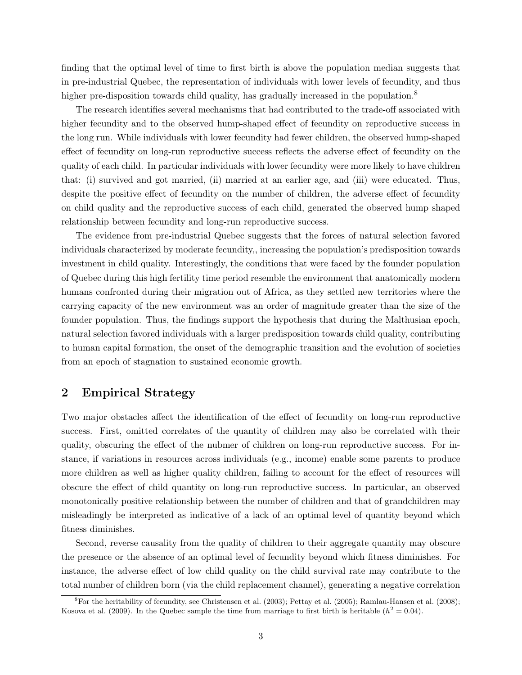finding that the optimal level of time to first birth is above the population median suggests that in pre-industrial Quebec, the representation of individuals with lower levels of fecundity, and thus higher pre-disposition towards child quality, has gradually increased in the population.<sup>8</sup>

The research identifies several mechanisms that had contributed to the trade-off associated with higher fecundity and to the observed hump-shaped effect of fecundity on reproductive success in the long run. While individuals with lower fecundity had fewer children, the observed hump-shaped effect of fecundity on long-run reproductive success reflects the adverse effect of fecundity on the quality of each child. In particular individuals with lower fecundity were more likely to have children that: (i) survived and got married, (ii) married at an earlier age, and (iii) were educated. Thus, despite the positive effect of fecundity on the number of children, the adverse effect of fecundity on child quality and the reproductive success of each child, generated the observed hump shaped relationship between fecundity and long-run reproductive success.

The evidence from pre-industrial Quebec suggests that the forces of natural selection favored individuals characterized by moderate fecundity,, increasing the population's predisposition towards investment in child quality. Interestingly, the conditions that were faced by the founder population of Quebec during this high fertility time period resemble the environment that anatomically modern humans confronted during their migration out of Africa, as they settled new territories where the carrying capacity of the new environment was an order of magnitude greater than the size of the founder population. Thus, the findings support the hypothesis that during the Malthusian epoch, natural selection favored individuals with a larger predisposition towards child quality, contributing to human capital formation, the onset of the demographic transition and the evolution of societies from an epoch of stagnation to sustained economic growth.

## 2 Empirical Strategy

Two major obstacles affect the identification of the effect of fecundity on long-run reproductive success. First, omitted correlates of the quantity of children may also be correlated with their quality, obscuring the effect of the nubmer of children on long-run reproductive success. For instance, if variations in resources across individuals (e.g., income) enable some parents to produce more children as well as higher quality children, failing to account for the effect of resources will obscure the effect of child quantity on long-run reproductive success. In particular, an observed monotonically positive relationship between the number of children and that of grandchildren may misleadingly be interpreted as indicative of a lack of an optimal level of quantity beyond which fitness diminishes.

Second, reverse causality from the quality of children to their aggregate quantity may obscure the presence or the absence of an optimal level of fecundity beyond which fitness diminishes. For instance, the adverse effect of low child quality on the child survival rate may contribute to the total number of children born (via the child replacement channel), generating a negative correlation

<sup>&</sup>lt;sup>8</sup>For the heritability of fecundity, see [Christensen et al.](#page-36-9) [\(2003\)](#page-36-9); [Pettay et al.](#page-38-7) [\(2005\)](#page-38-7); [Ramlau-Hansen et al.](#page-39-10) [\(2008\)](#page-39-10); [Kosova et al.](#page-38-8) [\(2009\)](#page-38-8). In the Quebec sample the time from marriage to first birth is heritable  $(h^2 = 0.04)$ .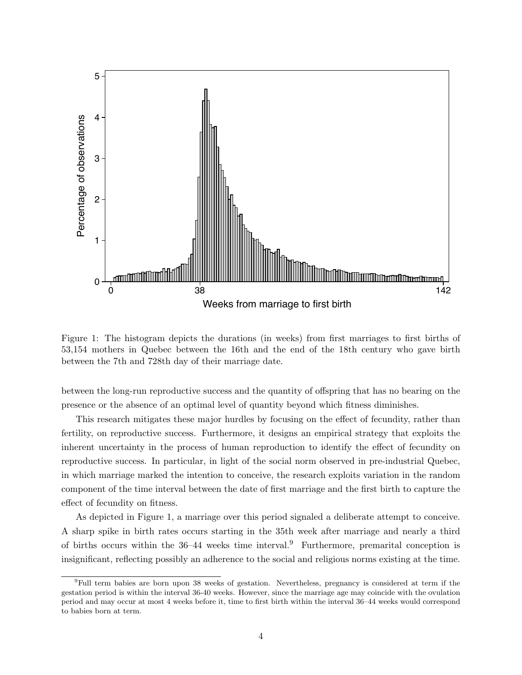<span id="page-6-0"></span>

Figure 1: The histogram depicts the durations (in weeks) from first marriages to first births of 53,154 mothers in Quebec between the 16th and the end of the 18th century who gave birth between the 7th and 728th day of their marriage date.

between the long-run reproductive success and the quantity of offspring that has no bearing on the presence or the absence of an optimal level of quantity beyond which fitness diminishes.

This research mitigates these major hurdles by focusing on the effect of fecundity, rather than fertility, on reproductive success. Furthermore, it designs an empirical strategy that exploits the inherent uncertainty in the process of human reproduction to identify the effect of fecundity on reproductive success. In particular, in light of the social norm observed in pre-industrial Quebec, in which marriage marked the intention to conceive, the research exploits variation in the random component of the time interval between the date of first marriage and the first birth to capture the effect of fecundity on fitness.

As depicted in Figure [1,](#page-6-0) a marriage over this period signaled a deliberate attempt to conceive. A sharp spike in birth rates occurs starting in the 35th week after marriage and nearly a third of births occurs within the  $36-44$  weeks time interval.<sup>9</sup> Furthermore, premarital conception is insignificant, reflecting possibly an adherence to the social and religious norms existing at the time.

<sup>9</sup>Full term babies are born upon 38 weeks of gestation. Nevertheless, pregnancy is considered at term if the gestation period is within the interval 36-40 weeks. However, since the marriage age may coincide with the ovulation period and may occur at most 4 weeks before it, time to first birth within the interval 36–44 weeks would correspond to babies born at term.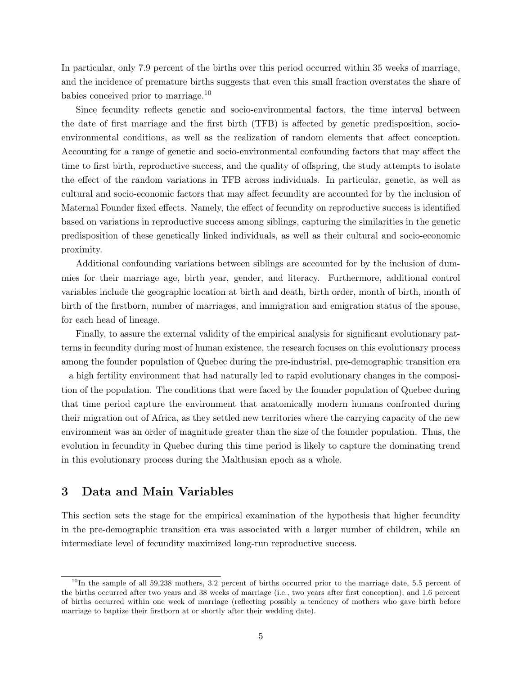In particular, only 7.9 percent of the births over this period occurred within 35 weeks of marriage, and the incidence of premature births suggests that even this small fraction overstates the share of babies conceived prior to marriage.<sup>10</sup>

Since fecundity reflects genetic and socio-environmental factors, the time interval between the date of first marriage and the first birth (TFB) is affected by genetic predisposition, socioenvironmental conditions, as well as the realization of random elements that affect conception. Accounting for a range of genetic and socio-environmental confounding factors that may affect the time to first birth, reproductive success, and the quality of offspring, the study attempts to isolate the effect of the random variations in TFB across individuals. In particular, genetic, as well as cultural and socio-economic factors that may affect fecundity are accounted for by the inclusion of Maternal Founder fixed effects. Namely, the effect of fecundity on reproductive success is identified based on variations in reproductive success among siblings, capturing the similarities in the genetic predisposition of these genetically linked individuals, as well as their cultural and socio-economic proximity.

Additional confounding variations between siblings are accounted for by the inclusion of dummies for their marriage age, birth year, gender, and literacy. Furthermore, additional control variables include the geographic location at birth and death, birth order, month of birth, month of birth of the firstborn, number of marriages, and immigration and emigration status of the spouse, for each head of lineage.

Finally, to assure the external validity of the empirical analysis for significant evolutionary patterns in fecundity during most of human existence, the research focuses on this evolutionary process among the founder population of Quebec during the pre-industrial, pre-demographic transition era – a high fertility environment that had naturally led to rapid evolutionary changes in the composition of the population. The conditions that were faced by the founder population of Quebec during that time period capture the environment that anatomically modern humans confronted during their migration out of Africa, as they settled new territories where the carrying capacity of the new environment was an order of magnitude greater than the size of the founder population. Thus, the evolution in fecundity in Quebec during this time period is likely to capture the dominating trend in this evolutionary process during the Malthusian epoch as a whole.

## 3 Data and Main Variables

This section sets the stage for the empirical examination of the hypothesis that higher fecundity in the pre-demographic transition era was associated with a larger number of children, while an intermediate level of fecundity maximized long-run reproductive success.

 $^{10}$ In the sample of all 59,238 mothers, 3.2 percent of births occurred prior to the marriage date, 5.5 percent of the births occurred after two years and 38 weeks of marriage (i.e., two years after first conception), and 1.6 percent of births occurred within one week of marriage (reflecting possibly a tendency of mothers who gave birth before marriage to baptize their firstborn at or shortly after their wedding date).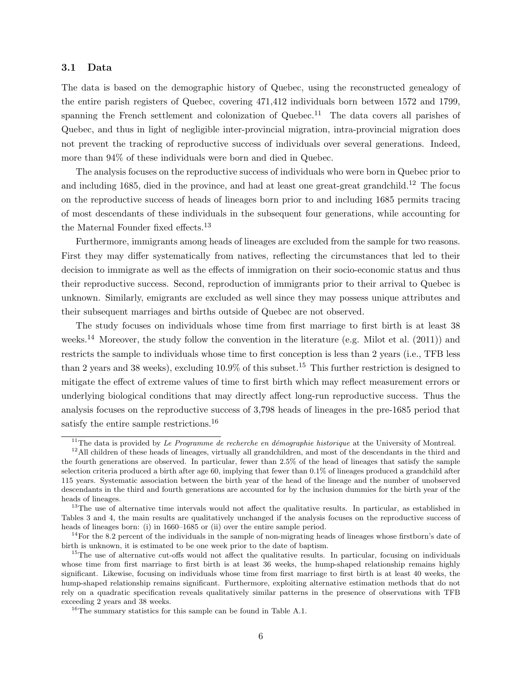#### 3.1 Data

The data is based on the demographic history of Quebec, using the reconstructed genealogy of the entire parish registers of Quebec, covering 471,412 individuals born between 1572 and 1799, spanning the French settlement and colonization of Quebec.<sup>11</sup> The data covers all parishes of Quebec, and thus in light of negligible inter-provincial migration, intra-provincial migration does not prevent the tracking of reproductive success of individuals over several generations. Indeed, more than 94% of these individuals were born and died in Quebec.

The analysis focuses on the reproductive success of individuals who were born in Quebec prior to and including 1685, died in the province, and had at least one great-great grandchild.<sup>12</sup> The focus on the reproductive success of heads of lineages born prior to and including 1685 permits tracing of most descendants of these individuals in the subsequent four generations, while accounting for the Maternal Founder fixed effects.<sup>13</sup>

Furthermore, immigrants among heads of lineages are excluded from the sample for two reasons. First they may differ systematically from natives, reflecting the circumstances that led to their decision to immigrate as well as the effects of immigration on their socio-economic status and thus their reproductive success. Second, reproduction of immigrants prior to their arrival to Quebec is unknown. Similarly, emigrants are excluded as well since they may possess unique attributes and their subsequent marriages and births outside of Quebec are not observed.

The study focuses on individuals whose time from first marriage to first birth is at least 38 weeks.<sup>14</sup> Moreover, the study follow the convention in the literature (e.g. [Milot et al.](#page-38-9) [\(2011\)](#page-38-9)) and restricts the sample to individuals whose time to first conception is less than 2 years (i.e., TFB less than 2 years and 38 weeks), excluding  $10.9\%$  of this subset.<sup>15</sup> This further restriction is designed to mitigate the effect of extreme values of time to first birth which may reflect measurement errors or underlying biological conditions that may directly affect long-run reproductive success. Thus the analysis focuses on the reproductive success of 3,798 heads of lineages in the pre-1685 period that satisfy the entire sample restrictions.<sup>16</sup>

<sup>&</sup>lt;sup>11</sup>The data is provided by *Le Programme de recherche en démographie historique* at the University of Montreal.

 $12$ All children of these heads of lineages, virtually all grandchildren, and most of the descendants in the third and the fourth generations are observed. In particular, fewer than 2.5% of the head of lineages that satisfy the sample selection criteria produced a birth after age 60, implying that fewer than 0.1% of lineages produced a grandchild after 115 years. Systematic association between the birth year of the head of the lineage and the number of unobserved descendants in the third and fourth generations are accounted for by the inclusion dummies for the birth year of the heads of lineages.

 $13$ The use of alternative time intervals would not affect the qualitative results. In particular, as established in Tables [3](#page-19-0) and [4,](#page-20-0) the main results are qualitatively unchanged if the analysis focuses on the reproductive success of heads of lineages born: (i) in 1660–1685 or (ii) over the entire sample period.

 $14$ For the 8.2 percent of the individuals in the sample of non-migrating heads of lineages whose firstborn's date of birth is unknown, it is estimated to be one week prior to the date of baptism.

 $15$ The use of alternative cut-offs would not affect the qualitative results. In particular, focusing on individuals whose time from first marriage to first birth is at least 36 weeks, the hump-shaped relationship remains highly significant. Likewise, focusing on individuals whose time from first marriage to first birth is at least 40 weeks, the hump-shaped relationship remains significant. Furthermore, exploiting alternative estimation methods that do not rely on a quadratic specification reveals qualitatively similar patterns in the presence of observations with TFB exceeding 2 years and 38 weeks.

<sup>16</sup>The summary statistics for this sample can be found in Table A.1.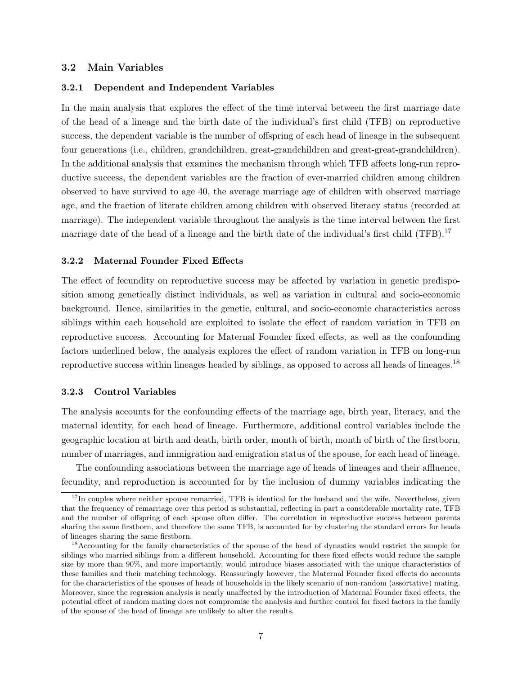#### 3.2 Main Variables

#### 3.2.1 Dependent and Independent Variables

In the main analysis that explores the effect of the time interval between the first marriage date of the head of a lineage and the birth date of the individual's first child (TFB) on reproductive success, the dependent variable is the number of offspring of each head of lineage in the subsequent four generations (i.e., children, grandchildren, great-grandchildren and great-great-grandchildren). In the additional analysis that examines the mechanism through which TFB affects long-run reproductive success, the dependent variables are the fraction of ever-married children among children observed to have survived to age 40, the average marriage age of children with observed marriage age, and the fraction of literate children among children with observed literacy status (recorded at marriage). The independent variable throughout the analysis is the time interval between the first marriage date of the head of a lineage and the birth date of the individual's first child (TFB).<sup>17</sup>

#### 3.2.2 Maternal Founder Fixed Effects

The effect of fecundity on reproductive success may be affected by variation in genetic predisposition among genetically distinct individuals, as well as variation in cultural and socio-economic background. Hence, similarities in the genetic, cultural, and socio-economic characteristics across siblings within each household are exploited to isolate the effect of random variation in TFB on reproductive success. Accounting for Maternal Founder fixed effects, as well as the confounding factors underlined below, the analysis explores the effect of random variation in TFB on long-run reproductive success within lineages headed by siblings, as opposed to across all heads of lineages.<sup>18</sup>

#### 3.2.3 Control Variables

The analysis accounts for the confounding effects of the marriage age, birth year, literacy, and the maternal identity, for each head of lineage. Furthermore, additional control variables include the geographic location at birth and death, birth order, month of birth, month of birth of the firstborn, number of marriages, and immigration and emigration status of the spouse, for each head of lineage.

The confounding associations between the marriage age of heads of lineages and their affluence, fecundity, and reproduction is accounted for by the inclusion of dummy variables indicating the

 $17$ In couples where neither spouse remarried, TFB is identical for the husband and the wife. Nevertheless, given that the frequency of remarriage over this period is substantial, reflecting in part a considerable mortality rate, TFB and the number of offspring of each spouse often differ. The correlation in reproductive success between parents sharing the same firstborn, and therefore the same TFB, is accounted for by clustering the standard errors for heads of lineages sharing the same firstborn.

<sup>&</sup>lt;sup>18</sup>Accounting for the family characteristics of the spouse of the head of dynasties would restrict the sample for siblings who married siblings from a different household. Accounting for these fixed effects would reduce the sample size by more than 90%, and more importantly, would introduce biases associated with the unique characteristics of these families and their matching technology. Reassuringly however, the Maternal Founder fixed effects do accounts for the characteristics of the spouses of heads of households in the likely scenario of non-random (assortative) mating. Moreover, since the regression analysis is nearly unaffected by the introduction of Maternal Founder fixed effects, the potential effect of random mating does not compromise the analysis and further control for fixed factors in the family of the spouse of the head of lineage are unlikely to alter the results.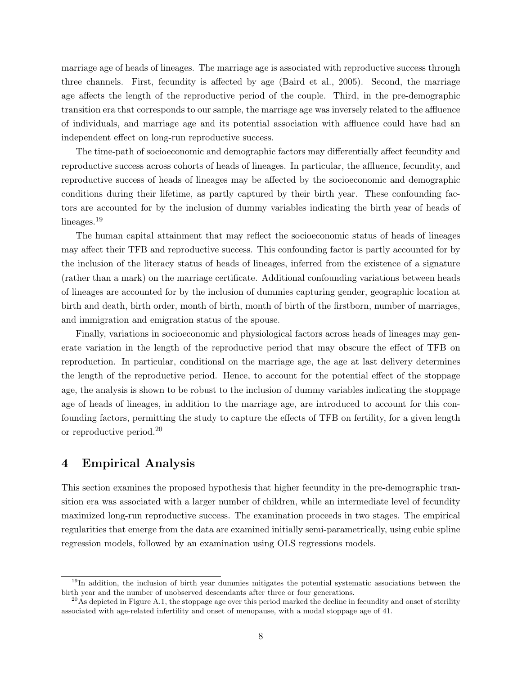marriage age of heads of lineages. The marriage age is associated with reproductive success through three channels. First, fecundity is affected by age (Baird et al.,  $2005$ ). Second, the marriage age affects the length of the reproductive period of the couple. Third, in the pre-demographic transition era that corresponds to our sample, the marriage age was inversely related to the affluence of individuals, and marriage age and its potential association with affluence could have had an independent effect on long-run reproductive success.

The time-path of socioeconomic and demographic factors may differentially affect fecundity and reproductive success across cohorts of heads of lineages. In particular, the affluence, fecundity, and reproductive success of heads of lineages may be affected by the socioeconomic and demographic conditions during their lifetime, as partly captured by their birth year. These confounding factors are accounted for by the inclusion of dummy variables indicating the birth year of heads of lineages.<sup>19</sup>

The human capital attainment that may reflect the socioeconomic status of heads of lineages may affect their TFB and reproductive success. This confounding factor is partly accounted for by the inclusion of the literacy status of heads of lineages, inferred from the existence of a signature (rather than a mark) on the marriage certificate. Additional confounding variations between heads of lineages are accounted for by the inclusion of dummies capturing gender, geographic location at birth and death, birth order, month of birth, month of birth of the firstborn, number of marriages, and immigration and emigration status of the spouse.

Finally, variations in socioeconomic and physiological factors across heads of lineages may generate variation in the length of the reproductive period that may obscure the effect of TFB on reproduction. In particular, conditional on the marriage age, the age at last delivery determines the length of the reproductive period. Hence, to account for the potential effect of the stoppage age, the analysis is shown to be robust to the inclusion of dummy variables indicating the stoppage age of heads of lineages, in addition to the marriage age, are introduced to account for this confounding factors, permitting the study to capture the effects of TFB on fertility, for a given length or reproductive period.<sup>20</sup>

## 4 Empirical Analysis

This section examines the proposed hypothesis that higher fecundity in the pre-demographic transition era was associated with a larger number of children, while an intermediate level of fecundity maximized long-run reproductive success. The examination proceeds in two stages. The empirical regularities that emerge from the data are examined initially semi-parametrically, using cubic spline regression models, followed by an examination using OLS regressions models.

<sup>&</sup>lt;sup>19</sup>In addition, the inclusion of birth year dummies mitigates the potential systematic associations between the birth year and the number of unobserved descendants after three or four generations.

<sup>&</sup>lt;sup>20</sup>As depicted in Figure A.1, the stoppage age over this period marked the decline in fecundity and onset of sterility associated with age-related infertility and onset of menopause, with a modal stoppage age of 41.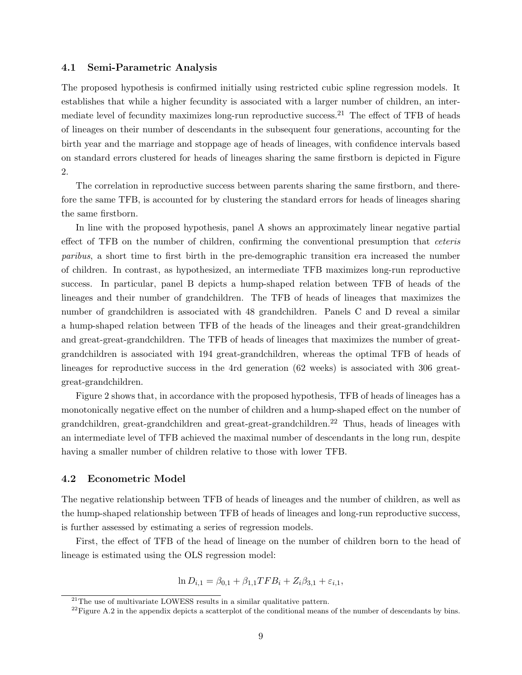#### 4.1 Semi-Parametric Analysis

The proposed hypothesis is confirmed initially using restricted cubic spline regression models. It establishes that while a higher fecundity is associated with a larger number of children, an intermediate level of fecundity maximizes long-run reproductive success.<sup>21</sup> The effect of TFB of heads of lineages on their number of descendants in the subsequent four generations, accounting for the birth year and the marriage and stoppage age of heads of lineages, with confidence intervals based on standard errors clustered for heads of lineages sharing the same firstborn is depicted in Figure [2.](#page-12-0)

The correlation in reproductive success between parents sharing the same firstborn, and therefore the same TFB, is accounted for by clustering the standard errors for heads of lineages sharing the same firstborn.

In line with the proposed hypothesis, panel A shows an approximately linear negative partial effect of TFB on the number of children, confirming the conventional presumption that *ceteris paribus*, a short time to first birth in the pre-demographic transition era increased the number of children. In contrast, as hypothesized, an intermediate TFB maximizes long-run reproductive success. In particular, panel B depicts a hump-shaped relation between TFB of heads of the lineages and their number of grandchildren. The TFB of heads of lineages that maximizes the number of grandchildren is associated with 48 grandchildren. Panels C and D reveal a similar a hump-shaped relation between TFB of the heads of the lineages and their great-grandchildren and great-great-grandchildren. The TFB of heads of lineages that maximizes the number of greatgrandchildren is associated with 194 great-grandchildren, whereas the optimal TFB of heads of lineages for reproductive success in the 4rd generation (62 weeks) is associated with 306 greatgreat-grandchildren.

Figure [2](#page-12-0) shows that, in accordance with the proposed hypothesis, TFB of heads of lineages has a monotonically negative effect on the number of children and a hump-shaped effect on the number of grandchildren, great-grandchildren and great-great-grandchildren.<sup>22</sup> Thus, heads of lineages with an intermediate level of TFB achieved the maximal number of descendants in the long run, despite having a smaller number of children relative to those with lower TFB.

#### 4.2 Econometric Model

The negative relationship between TFB of heads of lineages and the number of children, as well as the hump-shaped relationship between TFB of heads of lineages and long-run reproductive success, is further assessed by estimating a series of regression models.

First, the effect of TFB of the head of lineage on the number of children born to the head of lineage is estimated using the OLS regression model:

$$
\ln D_{i,1} = \beta_{0,1} + \beta_{1,1} TFB_i + Z_i \beta_{3,1} + \varepsilon_{i,1},
$$

 $21$ The use of multivariate LOWESS results in a similar qualitative pattern.

<sup>&</sup>lt;sup>22</sup>Figure A.2 in the appendix depicts a scatterplot of the conditional means of the number of descendants by bins.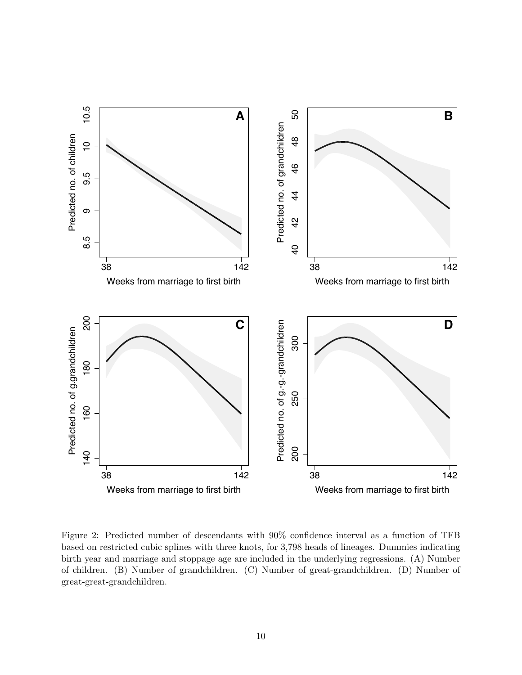<span id="page-12-0"></span>

Figure 2: Predicted number of descendants with 90% confidence interval as a function of TFB based on restricted cubic splines with three knots, for 3*,*798 heads of lineages. Dummies indicating birth year and marriage and stoppage age are included in the underlying regressions. (A) Number of children. (B) Number of grandchildren. (C) Number of great-grandchildren. (D) Number of great-great-grandchildren.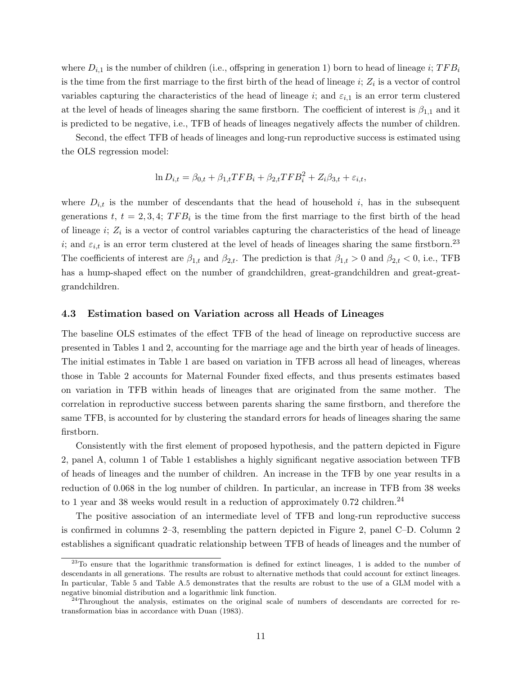where  $D_{i,1}$  is the number of children (i.e., offspring in generation 1) born to head of lineage *i*;  $TFB_i$ is the time from the first marriage to the first birth of the head of lineage  $i$ ;  $Z_i$  is a vector of control variables capturing the characteristics of the head of lineage *i*; and  $\varepsilon_{i,1}$  is an error term clustered at the level of heads of lineages sharing the same firstborn. The coefficient of interest is  $\beta_{1,1}$  and it is predicted to be negative, i.e., TFB of heads of lineages negatively a↵ects the number of children.

Second, the effect TFB of heads of lineages and long-run reproductive success is estimated using the OLS regression model:

$$
\ln D_{i,t} = \beta_{0,t} + \beta_{1,t} TFB_i + \beta_{2,t} TFB_i^2 + Z_i \beta_{3,t} + \varepsilon_{i,t},
$$

where  $D_{i,t}$  is the number of descendants that the head of household  $i$ , has in the subsequent generations  $t, t = 2, 3, 4$ ;  $TFB_i$  is the time from the first marriage to the first birth of the head of lineage *i*; *Z<sup>i</sup>* is a vector of control variables capturing the characteristics of the head of lineage *i*; and  $\varepsilon_{i,t}$  is an error term clustered at the level of heads of lineages sharing the same firstborn.<sup>23</sup> The coefficients of interest are  $\beta_{1,t}$  and  $\beta_{2,t}$ . The prediction is that  $\beta_{1,t} > 0$  and  $\beta_{2,t} < 0$ , i.e., TFB has a hump-shaped effect on the number of grandchildren, great-grandchildren and great-greatgrandchildren.

#### 4.3 Estimation based on Variation across all Heads of Lineages

The baseline OLS estimates of the effect TFB of the head of lineage on reproductive success are presented in Tables [1](#page-14-0) and [2,](#page-16-0) accounting for the marriage age and the birth year of heads of lineages. The initial estimates in Table [1](#page-14-0) are based on variation in TFB across all head of lineages, whereas those in Table [2](#page-16-0) accounts for Maternal Founder fixed effects, and thus presents estimates based on variation in TFB within heads of lineages that are originated from the same mother. The correlation in reproductive success between parents sharing the same firstborn, and therefore the same TFB, is accounted for by clustering the standard errors for heads of lineages sharing the same firstborn.

Consistently with the first element of proposed hypothesis, and the pattern depicted in Figure [2,](#page-12-0) panel A, column 1 of Table [1](#page-14-0) establishes a highly significant negative association between TFB of heads of lineages and the number of children. An increase in the TFB by one year results in a reduction of 0.068 in the log number of children. In particular, an increase in TFB from 38 weeks to 1 year and 38 weeks would result in a reduction of approximately  $0.72$  children.<sup>24</sup>

The positive association of an intermediate level of TFB and long-run reproductive success is confirmed in columns 2–3, resembling the pattern depicted in Figure [2,](#page-12-0) panel C–D. Column 2 establishes a significant quadratic relationship between TFB of heads of lineages and the number of

 $23$ To ensure that the logarithmic transformation is defined for extinct lineages, 1 is added to the number of descendants in all generations. The results are robust to alternative methods that could account for extinct lineages. In particular, Table [5](#page-21-0) and Table A.5 demonstrates that the results are robust to the use of a GLM model with a negative binomial distribution and a logarithmic link function.

 $24$ Throughout the analysis, estimates on the original scale of numbers of descendants are corrected for retransformation bias in accordance with [Duan](#page-37-14) [\(1983\)](#page-37-14).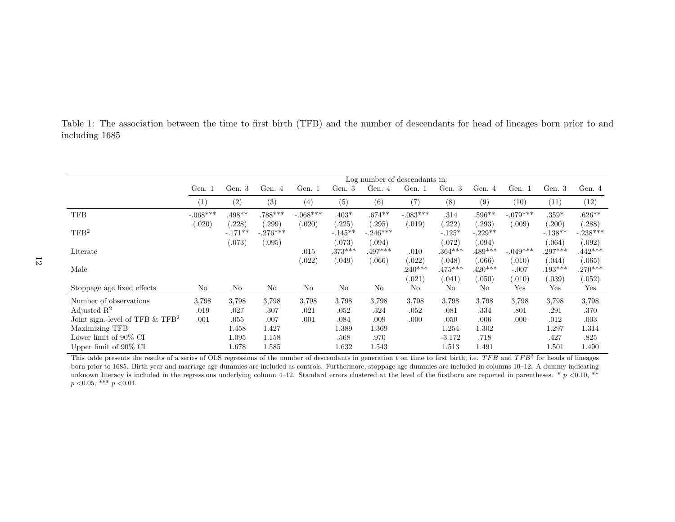<span id="page-14-0"></span>Table 1: The association between the time to first birth (TFB) and the number of descendants for head of lineages born prior to and including 1685

|                                                | Log number of descendants in: |                              |                               |            |                              |                                 |                    |                             |                              |                   |                            |                               |
|------------------------------------------------|-------------------------------|------------------------------|-------------------------------|------------|------------------------------|---------------------------------|--------------------|-----------------------------|------------------------------|-------------------|----------------------------|-------------------------------|
|                                                | Gen. 1                        | Gen. 3                       | Gen. 4                        | Gen. 1     | Gen. 3                       | Gen. $4$                        | Gen. 1             | Gen. 3                      | Gen. 4                       | Gen. 1            | Gen. 3                     | Gen. 4                        |
|                                                | (1)                           | (2)                          | (3)                           | (4)        | (5)                          | (6)                             | (7)                | (8)                         | (9)                          | (10)              | (11)                       | (12)                          |
| <b>TFB</b>                                     | $-.068***$                    | $.498**$                     | $.788***$                     | $-.068***$ | $.403*$                      | $.674**$                        | $-.083***$         | .314                        | $.596**$                     | $-.079***$        | $.359*$                    | $.626**$                      |
| TFB <sup>2</sup>                               | (.020)                        | .228)<br>$-.171**$<br>(.073) | .299)<br>$-.276***$<br>(.095) | 0.020)     | .225)<br>$-.145**$<br>(.073) | (0.295)<br>$-.246***$<br>(.094) | (.019)             | (.222)<br>$-.125*$<br>(072) | .293)<br>$-.229**$<br>0.094) | (.009)            | .200)<br>$-.138**$<br>064) | .288)<br>$-.238***$<br>(.092) |
| Literate                                       |                               |                              |                               | .015       | $.373***$                    | $.497***$                       | .010               | $.364***$                   | $.489***$                    | $-.049***$        | $.297***$                  | $.442***$                     |
| Male                                           |                               |                              |                               | .022)      | (.049)                       | (.066)                          | .022)<br>$.240***$ | (.048)<br>$.475***$         | 066)<br>$.420***$            | (.010)<br>$-.007$ | (.044)<br>$.193***$        | (.065)<br>$.270***$           |
| Stoppage age fixed effects                     | No                            | N <sub>o</sub>               | N <sub>o</sub>                | No         | N <sub>o</sub>               | N <sub>o</sub>                  | .021)<br>No        | (.041)<br>No                | 0.050)<br>No                 | (.010)<br>Yes     | .039)<br>Yes               | (.052)<br>Yes                 |
| Number of observations                         | 3.798                         | 3.798                        | 3.798                         | 3,798      | 3.798                        | 3,798                           | 3,798              | 3,798                       | 3.798                        | 3.798             | 3,798                      | 3,798                         |
| Adjusted $\mathbb{R}^2$                        | .019                          | .027                         | .307                          | .021       | .052                         | .324                            | .052               | .081                        | .334                         | .801              | .291                       | .370                          |
| Joint sign.-level of TFB $\&$ TFB <sup>2</sup> | .001                          | .055                         | .007                          | .001       | .084                         | .009                            | .000               | .050                        | .006                         | .000              | .012                       | .003                          |
| Maximizing TFB                                 |                               | 1.458                        | 1.427                         |            | 1.389                        | 1.369                           |                    | 1.254                       | 1.302                        |                   | 1.297                      | 1.314                         |
| Lower limit of $90\%$ CI                       |                               | 1.095                        | 1.158                         |            | .568                         | .970                            |                    | $-3.172$                    | .718                         |                   | .427                       | .825                          |
| Upper limit of $90\%$ CI                       |                               | 1.678                        | 1.585                         |            | 1.632                        | 1.543                           |                    | 1.513                       | 1.491                        |                   | 1.501                      | 1.490                         |

This table presents the results of a series of OLS regressions of the number of descendants in generation *t* on time to first birth, i.e. *TFB* and *TFB*<sup>2</sup> for heads of lineages born prior to 1685. Birth year and marriage age dummies are included as controls. Furthermore, stoppage age dummies are included in columns 10–12. A dummy indicating unknown literacy is included in the regressions underlying column 4–12. Standard errors clustered at the level of the firstborn are reported in parentheses. \* *p <*0.10, \*\* *p <*0.05, \*\*\* *p <*0.01.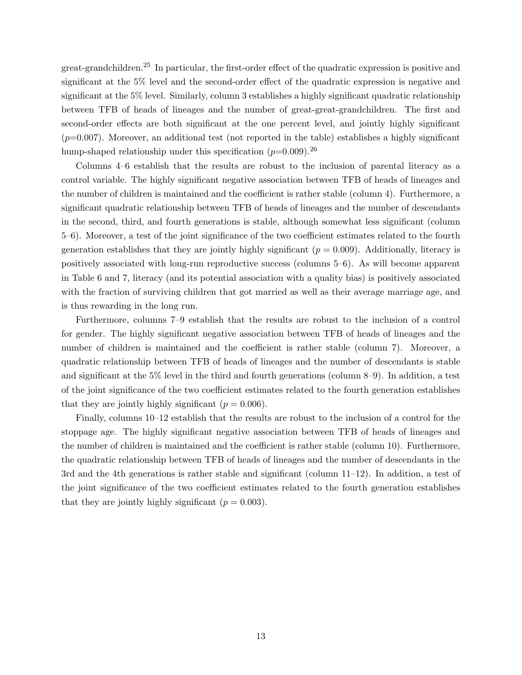great-grandchildren.<sup>25</sup> In particular, the first-order effect of the quadratic expression is positive and significant at the  $5\%$  level and the second-order effect of the quadratic expression is negative and significant at the 5% level. Similarly, column 3 establishes a highly significant quadratic relationship between TFB of heads of lineages and the number of great-great-grandchildren. The first and second-order effects are both significant at the one percent level, and jointly highly significant  $(p=0.007)$ . Moreover, an additional test (not reported in the table) establishes a highly significant hump-shaped relationship under this specification  $(p=0.009)$ <sup>26</sup>

Columns 4–6 establish that the results are robust to the inclusion of parental literacy as a control variable. The highly significant negative association between TFB of heads of lineages and the number of children is maintained and the coefficient is rather stable (column 4). Furthermore, a significant quadratic relationship between TFB of heads of lineages and the number of descendants in the second, third, and fourth generations is stable, although somewhat less significant (column 5–6). Moreover, a test of the joint significance of the two coefficient estimates related to the fourth generation establishes that they are jointly highly significant  $(p = 0.009)$ . Additionally, literacy is positively associated with long-run reproductive success (columns 5–6). As will become apparent in Table [6](#page-24-0) and [7,](#page-25-0) literacy (and its potential association with a quality bias) is positively associated with the fraction of surviving children that got married as well as their average marriage age, and is thus rewarding in the long run.

Furthermore, columns 7–9 establish that the results are robust to the inclusion of a control for gender. The highly significant negative association between TFB of heads of lineages and the number of children is maintained and the coefficient is rather stable (column 7). Moreover, a quadratic relationship between TFB of heads of lineages and the number of descendants is stable and significant at the 5% level in the third and fourth generations (column 8–9). In addition, a test of the joint significance of the two coefficient estimates related to the fourth generation establishes that they are jointly highly significant  $(p = 0.006)$ .

Finally, columns 10–12 establish that the results are robust to the inclusion of a control for the stoppage age. The highly significant negative association between TFB of heads of lineages and the number of children is maintained and the coefficient is rather stable (column 10). Furthermore, the quadratic relationship between TFB of heads of lineages and the number of descendants in the 3rd and the 4th generations is rather stable and significant (column 11–12). In addition, a test of the joint significance of the two coefficient estimates related to the fourth generation establishes that they are jointly highly significant  $(p = 0.003)$ .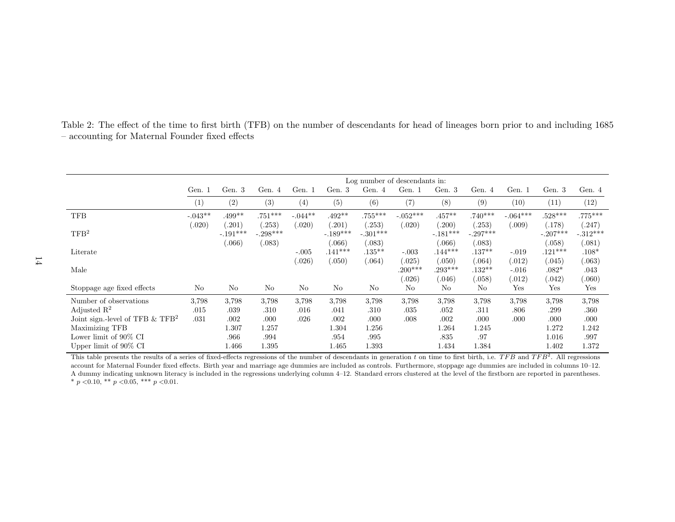<span id="page-16-0"></span>

| Table 2: The effect of the time to first birth (TFB) on the number of descendants for head of lineages born prior to and including 1685 |  |  |  |
|-----------------------------------------------------------------------------------------------------------------------------------------|--|--|--|
| - accounting for Maternal Founder fixed effects                                                                                         |  |  |  |

|                                                | Log number of descendants in: |                      |                     |                |                     |                      |                     |                     |                     |                   |                               |                     |
|------------------------------------------------|-------------------------------|----------------------|---------------------|----------------|---------------------|----------------------|---------------------|---------------------|---------------------|-------------------|-------------------------------|---------------------|
|                                                | Gen. 1                        | Gen. 3               | Gen. 4              | Gen. 1         | Gen. 3              | Gen. 4               | Gen. 1              | Gen. 3              | Gen. 4              | Gen. 1            | Gen. 3                        | Gen. 4              |
|                                                | (1)                           | (2)                  | (3)                 | (4)            | (5)                 | (6)                  | (7)                 | (8)                 | (9)                 | (10)              | (11)                          | (12)                |
| <b>TFB</b>                                     | $-.043**$                     | $.499**$             | $.751***$           | $-.044**$      | $.492**$            | $.755***$            | $-.052***$          | $.457**$            | $.740***$           | $-.064***$        | $.528***$                     | $.775***$           |
| TFB <sup>2</sup>                               | (.020)                        | (.201)<br>$-.191***$ | .253)<br>$-.298***$ | (.020)         | .201)<br>$-.189***$ | (.253)<br>$-.301***$ | (.020)              | .200)<br>$-.181***$ | .253)<br>$-.297***$ | (.009)            | (.178)<br>$-.207***$          | (247)<br>$-.312***$ |
| Literate                                       |                               | (.066)               | (.083)              | $-.005$        | (.066)<br>$.141***$ | (.083)<br>$.135***$  | $-.003$             | .066)<br>$.144***$  | .083)<br>$.137**$   | $-.019$           | 0.058<br>$.121***$            | (.081)<br>$.108*$   |
| Male                                           |                               |                      |                     | (.026)         | (.050)              | (.064)               | (.025)<br>$.200***$ | 0.050)<br>$.293***$ | .064)<br>$.132**$   | (.012)<br>$-.016$ | (.045)<br>$.082*$             | (.063)<br>.043      |
| Stoppage age fixed effects                     | No                            | No                   | No                  | N <sub>o</sub> | No                  | No                   | 0.026<br>No         | .046)<br>No         | .058)<br>No         | (.012)<br>Yes     | .042)<br>$\operatorname{Yes}$ | 060)<br>Yes         |
| Number of observations                         | 3.798                         | 3,798                | 3,798               | 3,798          | 3.798               | 3.798                | 3.798               | 3.798               | 3,798               | 3.798             | 3,798                         | 3,798               |
| Adjusted $\mathbb{R}^2$                        | .015                          | .039                 | .310                | .016           | .041                | .310                 | .035                | .052                | .311                | .806              | .299                          | .360                |
| Joint sign.-level of TFB $\&$ TFB <sup>2</sup> | .031                          | .002                 | .000                | .026           | .002                | .000                 | .008                | .002                | .000                | .000              | .000                          | .000                |
| Maximizing TFB                                 |                               | 1.307                | 1.257               |                | 1.304               | 1.256                |                     | 1.264               | 1.245               |                   | 1.272                         | 1.242               |
| Lower limit of $90\%$ CI                       |                               | .966                 | .994                |                | .954                | .995                 |                     | .835                | .97                 |                   | 1.016                         | .997                |
| Upper limit of $90\%$ CI                       |                               | 1.466                | .395                |                | 1.465               | 1.393                |                     | 1.434               | 1.384               |                   | 1.402                         | 1.372               |

This table presents the results of a series of fixed-effects regressions of the number of descendants in generation *t* on time to first birth, i.e. *TFB* and *TFB*<sup>2</sup>. All regressions account for Maternal Founder fixed effects. Birth year and marriage age dummies are included as controls. Furthermore, stoppage age dummies are included in columns 10–12. A dummy indicating unknown literacy is included in the regressions underlying column 4–12. Standard errors clustered at the level of the firstborn are reported in parentheses. \* *p <*0.10, \*\* *p <*0.05, \*\*\* *p <*0.01.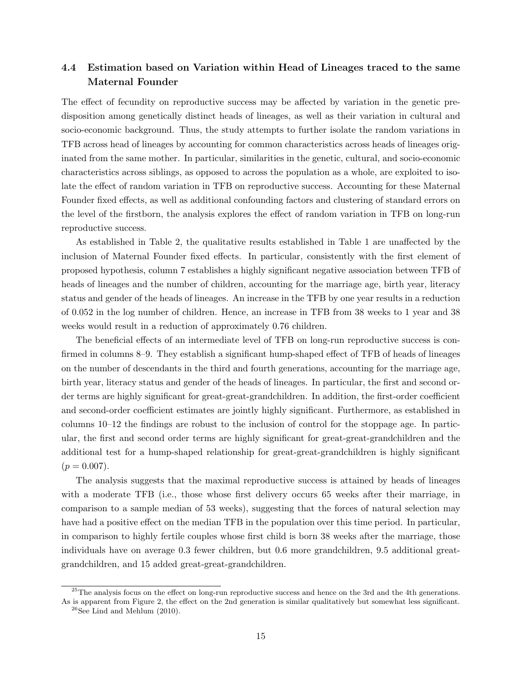### 4.4 Estimation based on Variation within Head of Lineages traced to the same Maternal Founder

The effect of fecundity on reproductive success may be affected by variation in the genetic predisposition among genetically distinct heads of lineages, as well as their variation in cultural and socio-economic background. Thus, the study attempts to further isolate the random variations in TFB across head of lineages by accounting for common characteristics across heads of lineages originated from the same mother. In particular, similarities in the genetic, cultural, and socio-economic characteristics across siblings, as opposed to across the population as a whole, are exploited to isolate the effect of random variation in TFB on reproductive success. Accounting for these Maternal Founder fixed effects, as well as additional confounding factors and clustering of standard errors on the level of the firstborn, the analysis explores the effect of random variation in TFB on long-run reproductive success.

As established in Table [2,](#page-16-0) the qualitative results established in Table [1](#page-14-0) are unaffected by the inclusion of Maternal Founder fixed effects. In particular, consistently with the first element of proposed hypothesis, column 7 establishes a highly significant negative association between TFB of heads of lineages and the number of children, accounting for the marriage age, birth year, literacy status and gender of the heads of lineages. An increase in the TFB by one year results in a reduction of 0.052 in the log number of children. Hence, an increase in TFB from 38 weeks to 1 year and 38 weeks would result in a reduction of approximately 0.76 children.

The beneficial effects of an intermediate level of TFB on long-run reproductive success is confirmed in columns  $8-9$ . They establish a significant hump-shaped effect of TFB of heads of lineages on the number of descendants in the third and fourth generations, accounting for the marriage age, birth year, literacy status and gender of the heads of lineages. In particular, the first and second order terms are highly significant for great-great-grandchildren. In addition, the first-order coefficient and second-order coefficient estimates are jointly highly significant. Furthermore, as established in columns 10–12 the findings are robust to the inclusion of control for the stoppage age. In particular, the first and second order terms are highly significant for great-great-grandchildren and the additional test for a hump-shaped relationship for great-great-grandchildren is highly significant  $(p = 0.007)$ .

The analysis suggests that the maximal reproductive success is attained by heads of lineages with a moderate TFB (i.e., those whose first delivery occurs 65 weeks after their marriage, in comparison to a sample median of 53 weeks), suggesting that the forces of natural selection may have had a positive effect on the median TFB in the population over this time period. In particular, in comparison to highly fertile couples whose first child is born 38 weeks after the marriage, those individuals have on average 0.3 fewer children, but 0.6 more grandchildren, 9.5 additional greatgrandchildren, and 15 added great-great-grandchildren.

 $^{25}$ The analysis focus on the effect on long-run reproductive success and hence on the 3rd and the 4th generations. As is apparent from Figure [2,](#page-12-0) the effect on the 2nd generation is similar qualitatively but somewhat less significant.

 $26$ See [Lind and Mehlum](#page-38-10) [\(2010\)](#page-38-10).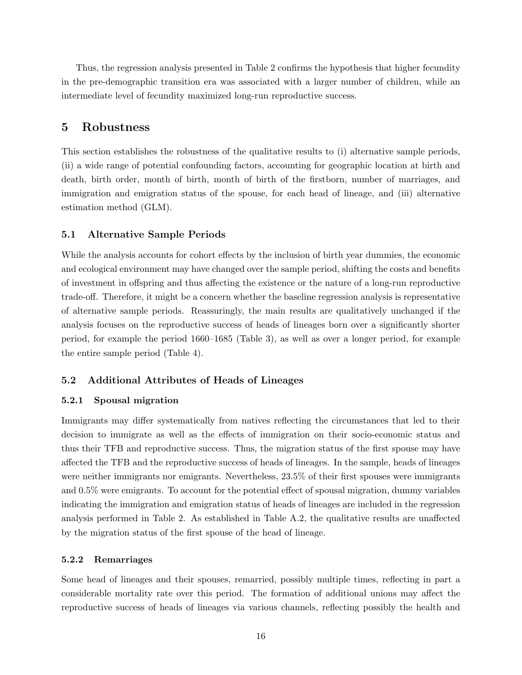Thus, the regression analysis presented in Table [2](#page-16-0) confirms the hypothesis that higher fecundity in the pre-demographic transition era was associated with a larger number of children, while an intermediate level of fecundity maximized long-run reproductive success.

#### 5 Robustness

This section establishes the robustness of the qualitative results to (i) alternative sample periods, (ii) a wide range of potential confounding factors, accounting for geographic location at birth and death, birth order, month of birth, month of birth of the firstborn, number of marriages, and immigration and emigration status of the spouse, for each head of lineage, and (iii) alternative estimation method (GLM).

#### 5.1 Alternative Sample Periods

While the analysis accounts for cohort effects by the inclusion of birth year dummies, the economic and ecological environment may have changed over the sample period, shifting the costs and benefits of investment in offspring and thus affecting the existence or the nature of a long-run reproductive trade-off. Therefore, it might be a concern whether the baseline regression analysis is representative of alternative sample periods. Reassuringly, the main results are qualitatively unchanged if the analysis focuses on the reproductive success of heads of lineages born over a significantly shorter period, for example the period 1660–1685 (Table [3\)](#page-19-0), as well as over a longer period, for example the entire sample period (Table [4\)](#page-20-0).

#### 5.2 Additional Attributes of Heads of Lineages

#### 5.2.1 Spousal migration

Immigrants may differ systematically from natives reflecting the circumstances that led to their decision to immigrate as well as the effects of immigration on their socio-economic status and thus their TFB and reproductive success. Thus, the migration status of the first spouse may have affected the TFB and the reproductive success of heads of lineages. In the sample, heads of lineages were neither immigrants nor emigrants. Nevertheless, 23.5% of their first spouses were immigrants and  $0.5\%$  were emigrants. To account for the potential effect of spousal migration, dummy variables indicating the immigration and emigration status of heads of lineages are included in the regression analysis performed in Table [2.](#page-16-0) As established in Table  $A.2$ , the qualitative results are unaffected by the migration status of the first spouse of the head of lineage.

#### 5.2.2 Remarriages

Some head of lineages and their spouses, remarried, possibly multiple times, reflecting in part a considerable mortality rate over this period. The formation of additional unions may affect the reproductive success of heads of lineages via various channels, reflecting possibly the health and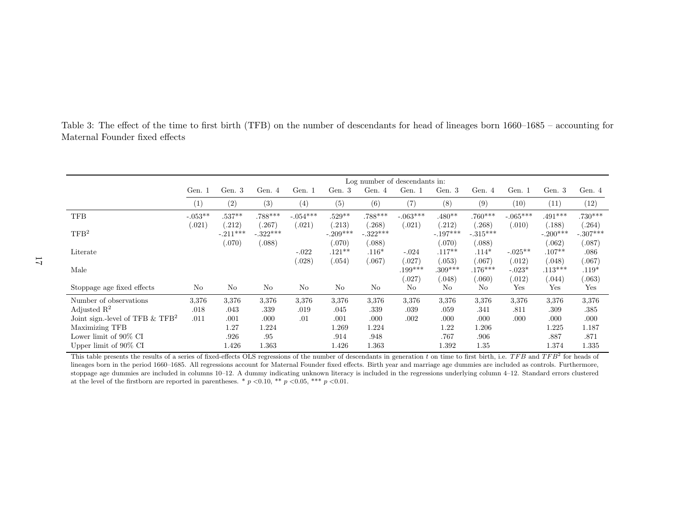<span id="page-19-0"></span>Table 3: The effect of the time to first birth (TFB) on the number of descendants for head of lineages born 1660–1685 – accounting for Maternal Founder fixed effects

|                                               |           |                |            |                |            |            | Log number of descendants in: |            |            |            |            |            |
|-----------------------------------------------|-----------|----------------|------------|----------------|------------|------------|-------------------------------|------------|------------|------------|------------|------------|
|                                               | Gen. 1    | Gen. $3$       | Gen. $4$   | Gen. 1         | Gen. 3     | Gen. $4$   | Gen. 1                        | Gen. 3     | Gen. $4$   | Gen. 1     | Gen. 3     | Gen. 4     |
|                                               | (1)       | (2)            | (3)        | (4)            | (5)        | (6)        | (7)                           | (8)        | (9)        | (10)       | (11)       | (12)       |
| <b>TFB</b>                                    | $-.053**$ | $.537**$       | .788***    | $-.054***$     | $.529**$   | $.788***$  | $-.063***$                    | $.480**$   | $.760***$  | $-.065***$ | $.491***$  | $.730***$  |
|                                               | (.021)    | (212)          | .267)      | (.021)         | .213)      | .268)      | (.021)                        | .212)      | .268)      | (.010)     | (.188)     | (.264)     |
| TFB <sup>2</sup>                              |           | $-.211***$     | $-.322***$ |                | $-.209***$ | $-.322***$ |                               | $-.197***$ | $-.315***$ |            | $-.200***$ | $-.307***$ |
|                                               |           | (070)          | (.088)     |                | (.070)     | (.088)     |                               | (.070)     | (.088)     |            | (.062)     | (.087)     |
| Literate                                      |           |                |            | $-.022$        | $.121**$   | $.116*$    | $-.024$                       | $.117**$   | $.114*$    | $-.025**$  | $.107**$   | .086       |
|                                               |           |                |            | (.028)         | (.054)     | (.067)     | (.027)                        | (.053)     | (.067)     | (.012)     | (.048)     | (.067)     |
| Male                                          |           |                |            |                |            |            | $.199***$                     | $.309***$  | $.176***$  | $-.023*$   | $.113***$  | $.119*$    |
|                                               |           |                |            |                |            |            | (.027)                        | (.048)     | .060)      | (.012)     | (.044)     | (.063)     |
| Stoppage age fixed effects                    | No        | N <sub>o</sub> | No         | N <sub>o</sub> | No         | No         | No                            | No         | No         | Yes        | Yes        | Yes        |
| Number of observations                        | 3,376     | 3,376          | 3,376      | 3,376          | 3,376      | 3,376      | 3,376                         | 3,376      | 3,376      | 3,376      | 3,376      | 3,376      |
| Adjusted $\mathbb{R}^2$                       | .018      | .043           | .339       | .019           | .045       | .339       | .039                          | .059       | .341       | .811       | .309       | .385       |
| Joint sign.-level of TFB $&$ TFB <sup>2</sup> | .011      | .001           | .000       | .01            | .001       | .000       | .002                          | .000       | .000       | .000       | .000       | .000       |
| Maximizing TFB                                |           | 1.27           | 1.224      |                | 1.269      | 1.224      |                               | 1.22       | 1.206      |            | 1.225      | 1.187      |
| Lower limit of $90\%$ CI                      |           | .926           | .95        |                | .914       | .948       |                               | .767       | .906       |            | .887       | .871       |
| Upper limit of 90% CI                         |           | 1.426          | 1.363      |                | 1.426      | 1.363      |                               | 1.392      | 1.35       |            | 1.374      | 1.335      |

This table presents the results of a series of fixed-effects OLS regressions of the number of descendants in generation *t* on time to first birth, i.e. *TFB* and *TFB*<sup>2</sup> for heads of lineages born in the period 1660–1685. All regressions account for Maternal Founder fixed effects. Birth year and marriage age dummies are included as controls. Furthermore, stoppage age dummies are included in columns 10–12. A dummy indicating unknown literacy is included in the regressions underlying column 4–12. Standard errors clustered at the level of the firstborn are reported in parentheses. \*  $p < 0.10$ , \*\*  $p < 0.05$ , \*\*\*  $p < 0.01$ .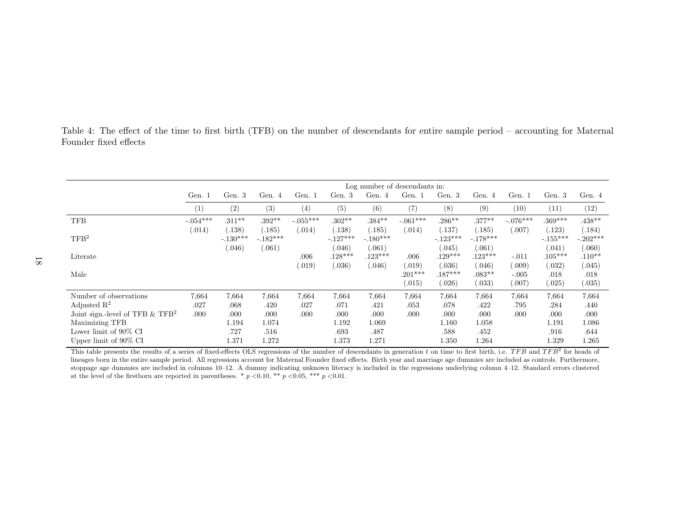<span id="page-20-0"></span>

| Table 4: The effect of the time to first birth (TFB) on the number of descendants for entire sample period – accounting for Maternal |  |  |  |  |  |  |  |
|--------------------------------------------------------------------------------------------------------------------------------------|--|--|--|--|--|--|--|
| Founder fixed effects                                                                                                                |  |  |  |  |  |  |  |

|                                                                  |               |                                |                                |               |                                | Log number of descendants in:  |                               |                               |                                |                            |                               |                                |
|------------------------------------------------------------------|---------------|--------------------------------|--------------------------------|---------------|--------------------------------|--------------------------------|-------------------------------|-------------------------------|--------------------------------|----------------------------|-------------------------------|--------------------------------|
|                                                                  | Gen. 1        | Gen. $3$                       | Gen. 4                         | Gen. 1        | Gen. 3                         | Gen. 4                         | Gen. 1                        | Gen. 3                        | Gen. 4                         | Gen. 1                     | Gen. 3                        | Gen. 4                         |
|                                                                  | (1)           | (2)                            | (3)                            | (4)           | (5)                            | (6)                            | (7)                           | (8)                           | (9)                            | (10)                       | (11)                          | (12)                           |
| <b>TFB</b>                                                       | $-.054***$    | $.311**$                       | $.392**$                       | $-.055***$    | $.302**$                       | $.384**$                       | $-.061***$                    | $.286**$                      | $.377**$                       | $-.076***$                 | $.369***$                     | $.438**$                       |
| TFB <sup>2</sup>                                                 | (.014)        | (.138)<br>$-.130***$<br>(.046) | (.185)<br>$-.182***$<br>(.061) | (.014)        | (.138)<br>$-.127***$<br>(.046) | (.185)<br>$-.180***$<br>(.061) | (.014)                        | (137)<br>$-.123***$<br>0.045) | (.185)<br>$-.178***$<br>(.061) | 0.007)                     | (123)<br>$-.155***$<br>(.041) | (.184)<br>$-.202***$<br>(.060) |
| Literate                                                         |               |                                |                                | .006          | $.128***$                      | $.123***$                      | .006                          | $.129***$                     | $.123***$                      | $-.011$                    | $.105***$                     | $.110**$                       |
| Male                                                             |               |                                |                                | (.019)        | (.036)                         | (.046)                         | (.019)<br>$.201***$<br>(.015) | (.036)<br>$.187***$<br>(.026) | (.046)<br>$.083**$<br>(.033)   | .009)<br>$-.005$<br>(.007) | (.032)<br>.018<br>(.025)      | (.045)<br>.018<br>(.035)       |
| Number of observations<br>Adjusted $\mathbb{R}^2$                | 7,664<br>.027 | 7,664<br>.068                  | 7,664<br>.420                  | 7,664<br>.027 | 7,664<br>.071                  | 7.664<br>.421                  | 7.664<br>.053                 | 7,664<br>.078                 | 7.664<br>.422                  | 7,664<br>.795              | 7,664<br>.284                 | 7,664<br>.440                  |
| Joint sign.-level of TFB $\&$ TFB <sup>2</sup><br>Maximizing TFB | .000          | .000<br>1.194                  | .000<br>1.074                  | .000          | .000<br>1.192                  | .000<br>1.069                  | .000                          | .000<br>1.160                 | .000<br>1.058                  | .000                       | .000<br>1.191                 | .000<br>1.086                  |
| Lower limit of $90\%$ CI                                         |               | .727                           | .516                           |               | .693                           | .487                           |                               | .588                          | .452                           |                            | .916                          | .644                           |
| Upper limit of $90\%$ CI                                         |               | 1.371                          | 1.272                          |               | 1.373                          | 1.271                          |                               | 1.350                         | 1.264                          |                            | 1.329                         | 1.265                          |

This table presents the results of a series of fixed-effects OLS regressions of the number of descendants in generation *t* on time to first birth, i.e. *TFB* and *TFB*<sup>2</sup> for heads of lineages born in the entire sample period. All regressions account for Maternal Founder fixed effects. Birth year and marriage age dummies are included as controls. Furthermore, stoppage age dummies are included in columns 10–12. A dummy indicating unknown literacy is included in the regressions underlying column 4–12. Standard errors clustered at the level of the firstborn are reported in parentheses. \* *p <*0.10, \*\* *p <*0.05, \*\*\* *p <*0.01.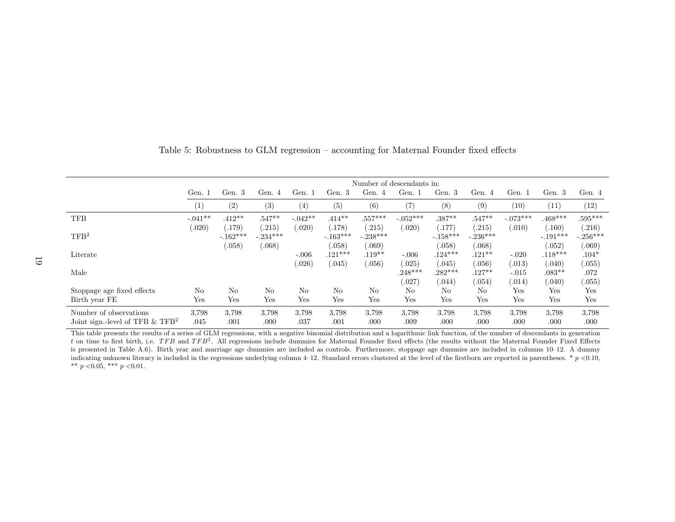<span id="page-21-0"></span>

|                                               |           |                      |                      |           |                      |                     | Number of descendants in: |                     |                     |                   |                     |                     |
|-----------------------------------------------|-----------|----------------------|----------------------|-----------|----------------------|---------------------|---------------------------|---------------------|---------------------|-------------------|---------------------|---------------------|
|                                               | Gen. 1    | Gen. 3               | Gen. 4               | Gen. 1    | Gen. 3               | Gen. $4$            | Gen. 1                    | Gen. 3              | Gen. 4              | Gen. 1            | Gen. 3              | Gen. 4              |
|                                               | (1)       | (2)                  | (3)                  | (4)       | (5)                  | (6)                 | (7)                       | (8)                 | (9)                 | (10)              | (11)                | (12)                |
| <b>TFB</b>                                    | $-.041**$ | $.412**$             | $.547**$             | $-.042**$ | $.414**$             | $.557***$           | $-.052***$                | $.387**$            | $.547**$            | $-.073***$        | $.468***$           | $.595***$           |
| TFB <sup>2</sup>                              | (.020)    | (.179)<br>$-.162***$ | (.215)<br>$-.234***$ | (.020)    | (.178)<br>$-.163***$ | .215)<br>$-.238***$ | (.020)                    | .177)<br>$-.158***$ | (215)<br>$-.236***$ | (.010)            | .160)<br>$-.191***$ | (216)<br>$-.256***$ |
| Literate                                      |           | (.058)               | (.068)               | $-.006$   | 0.058<br>$.121***$   | .069)<br>$.119**$   | $-.006$                   | (.058)<br>$.124***$ | (.068)<br>$.121**$  | $-.020$           | (.052)<br>$.118***$ | (.069)<br>$.104*$   |
| Male                                          |           |                      |                      | (.026)    | 0.045)               | .056)               | (.025)<br>$.248***$       | (.045)<br>$.282***$ | .056)<br>$.127**$   | (.013)<br>$-.015$ | 0.040)<br>$.083**$  | 0.055)<br>.072      |
|                                               |           |                      |                      |           |                      |                     | (0.027)                   | (.044)              | .054)               | (.014)            | (0.40)              | 0.055)              |
| Stoppage age fixed effects                    | No        | N <sub>0</sub>       | No                   | No        | No                   | No                  | No                        | N <sub>0</sub>      | No                  | Yes               | Yes                 | Yes                 |
| Birth year FE                                 | Yes       | Yes                  | Yes                  | Yes       | Yes                  | Yes                 | Yes                       | Yes                 | Yes                 | Yes               | Yes                 | Yes                 |
| Number of observations                        | 3,798     | 3.798                | 3.798                | 3.798     | 3,798                | 3.798               | 3.798                     | 3.798               | 3.798               | 3.798             | 3.798               | 3,798               |
| Joint sign.-level of TFB $&$ TFB <sup>2</sup> | .045      | .001                 | .000                 | .037      | .001                 | .000                | .009                      | .000                | .000                | .000              | .000                | .000                |

Table 5: Robustness to GLM regression – accounting for Maternal Founder fixed effects

This table presents the results of a series of GLM regressions, with a negative binomial distribution and a logarithmic link function, of the number of descendants in generation *t* on time to first birth, i.e. *TFB* and *TFB*<sup>2</sup>. All regressions include dummies for Maternal Founder fixed effects (the results without the Maternal Founder Fixed Effects is presented in Table A.6). Birth year and marriage age dummies are included as controls. Furthermore, stoppage age dummies are included in columns 10–12. A dummy indicating unknown literacy is included in the regressions underlying column 4–12. Standard errors clustered at the level of the firstborn are reported in parentheses. \* *p <*0.10, \*\* *p <*0.05, \*\*\* *p <*0.01.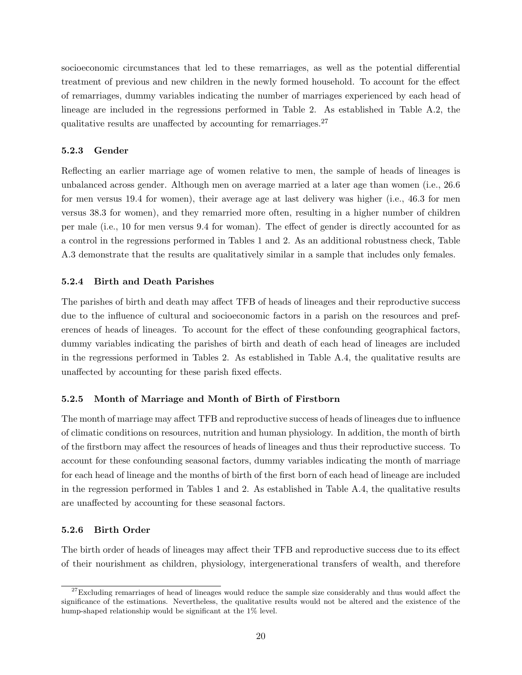socioeconomic circumstances that led to these remarriages, as well as the potential differential treatment of previous and new children in the newly formed household. To account for the effect of remarriages, dummy variables indicating the number of marriages experienced by each head of lineage are included in the regressions performed in Table [2.](#page-16-0) As established in Table A.2, the qualitative results are unaffected by accounting for remarriages.  $27$ 

#### 5.2.3 Gender

Reflecting an earlier marriage age of women relative to men, the sample of heads of lineages is unbalanced across gender. Although men on average married at a later age than women (i.e., 26.6 for men versus 19.4 for women), their average age at last delivery was higher (i.e., 46.3 for men versus 38.3 for women), and they remarried more often, resulting in a higher number of children per male (i.e., 10 for men versus 9.4 for woman). The effect of gender is directly accounted for as a control in the regressions performed in Tables [1](#page-14-0) and [2.](#page-16-0) As an additional robustness check, Table A.3 demonstrate that the results are qualitatively similar in a sample that includes only females.

#### 5.2.4 Birth and Death Parishes

The parishes of birth and death may affect TFB of heads of lineages and their reproductive success due to the influence of cultural and socioeconomic factors in a parish on the resources and preferences of heads of lineages. To account for the effect of these confounding geographical factors, dummy variables indicating the parishes of birth and death of each head of lineages are included in the regressions performed in Tables [2.](#page-16-0) As established in Table A.4, the qualitative results are unaffected by accounting for these parish fixed effects.

#### 5.2.5 Month of Marriage and Month of Birth of Firstborn

The month of marriage may affect TFB and reproductive success of heads of lineages due to influence of climatic conditions on resources, nutrition and human physiology. In addition, the month of birth of the firstborn may a↵ect the resources of heads of lineages and thus their reproductive success. To account for these confounding seasonal factors, dummy variables indicating the month of marriage for each head of lineage and the months of birth of the first born of each head of lineage are included in the regression performed in Tables [1](#page-14-0) and [2.](#page-16-0) As established in Table A.4, the qualitative results are unaffected by accounting for these seasonal factors.

#### 5.2.6 Birth Order

The birth order of heads of lineages may affect their TFB and reproductive success due to its effect of their nourishment as children, physiology, intergenerational transfers of wealth, and therefore

<sup>&</sup>lt;sup>27</sup>Excluding remarriages of head of lineages would reduce the sample size considerably and thus would affect the significance of the estimations. Nevertheless, the qualitative results would not be altered and the existence of the hump-shaped relationship would be significant at the  $1\%$  level.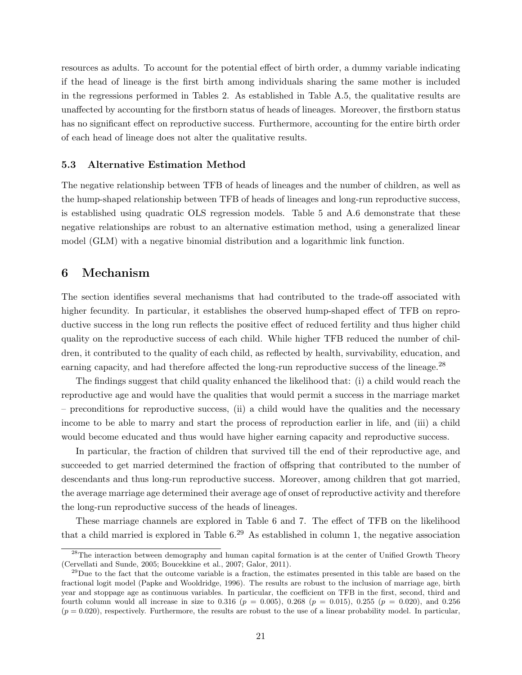resources as adults. To account for the potential effect of birth order, a dummy variable indicating if the head of lineage is the first birth among individuals sharing the same mother is included in the regressions performed in Tables [2.](#page-16-0) As established in Table A.5, the qualitative results are unaffected by accounting for the firstborn status of heads of lineages. Moreover, the firstborn status has no significant effect on reproductive success. Furthermore, accounting for the entire birth order of each head of lineage does not alter the qualitative results.

#### 5.3 Alternative Estimation Method

The negative relationship between TFB of heads of lineages and the number of children, as well as the hump-shaped relationship between TFB of heads of lineages and long-run reproductive success, is established using quadratic OLS regression models. Table [5](#page-21-0) and A.6 demonstrate that these negative relationships are robust to an alternative estimation method, using a generalized linear model (GLM) with a negative binomial distribution and a logarithmic link function.

#### 6 Mechanism

The section identifies several mechanisms that had contributed to the trade-off associated with higher fecundity. In particular, it establishes the observed hump-shaped effect of TFB on reproductive success in the long run reflects the positive effect of reduced fertility and thus higher child quality on the reproductive success of each child. While higher TFB reduced the number of children, it contributed to the quality of each child, as reflected by health, survivability, education, and earning capacity, and had therefore affected the long-run reproductive success of the lineage.<sup>28</sup>

The findings suggest that child quality enhanced the likelihood that: (i) a child would reach the reproductive age and would have the qualities that would permit a success in the marriage market – preconditions for reproductive success, (ii) a child would have the qualities and the necessary income to be able to marry and start the process of reproduction earlier in life, and (iii) a child would become educated and thus would have higher earning capacity and reproductive success.

In particular, the fraction of children that survived till the end of their reproductive age, and succeeded to get married determined the fraction of offspring that contributed to the number of descendants and thus long-run reproductive success. Moreover, among children that got married, the average marriage age determined their average age of onset of reproductive activity and therefore the long-run reproductive success of the heads of lineages.

These marriage channels are explored in Table [6](#page-24-0) and [7.](#page-25-0) The effect of TFB on the likelihood that a child married is explored in Table  $6<sup>29</sup>$  As established in column 1, the negative association

<sup>&</sup>lt;sup>28</sup>The interaction between demography and human capital formation is at the center of Unified Growth Theory [\(Cervellati and Sunde, 2005;](#page-36-11) [Boucekkine et al., 2007;](#page-36-12) [Galor, 2011\)](#page-37-4).

 $29$ Due to the fact that the outcome variable is a fraction, the estimates presented in this table are based on the fractional logit model [\(Papke and Wooldridge, 1996\)](#page-38-11). The results are robust to the inclusion of marriage age, birth year and stoppage age as continuous variables. In particular, the coefficient on TFB in the first, second, third and fourth column would all increase in size to 0*.*316 (*p* = 0*.*005), 0*.*268 (*p* = 0*.*015), 0*.*255 (*p* = 0*.*020), and 0*.*256  $(p = 0.020)$ , respectively. Furthermore, the results are robust to the use of a linear probability model. In particular,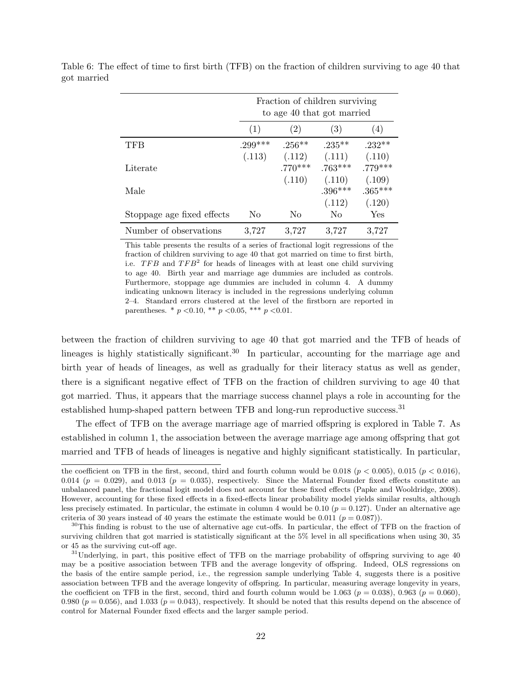|                            | Fraction of children surviving<br>to age 40 that got married |                     |                     |                     |  |  |  |  |  |  |
|----------------------------|--------------------------------------------------------------|---------------------|---------------------|---------------------|--|--|--|--|--|--|
|                            | (1)                                                          | (2)                 | (3)                 | (4)                 |  |  |  |  |  |  |
| <b>TFB</b>                 | $.299***$                                                    | $.256**$            | $.235***$           | $.232**$            |  |  |  |  |  |  |
| Literate                   | (.113)                                                       | (.112)<br>$.770***$ | (.111)<br>$.763***$ | (.110)<br>$.779***$ |  |  |  |  |  |  |
| Male                       |                                                              | (.110)              | (.110)<br>$.396***$ | (.109)<br>$.365***$ |  |  |  |  |  |  |
|                            |                                                              |                     | (.112)              | (.120)              |  |  |  |  |  |  |
| Stoppage age fixed effects | No                                                           | No                  | No                  | Yes                 |  |  |  |  |  |  |
| Number of observations     | 3,727                                                        | 3,727               | 3,727               | 3,727               |  |  |  |  |  |  |

<span id="page-24-0"></span>Table 6: The effect of time to first birth (TFB) on the fraction of children surviving to age 40 that got married

> This table presents the results of a series of fractional logit regressions of the fraction of children surviving to age 40 that got married on time to first birth, i.e. *TFB* and *TFB*<sup>2</sup> for heads of lineages with at least one child surviving to age 40. Birth year and marriage age dummies are included as controls. Furthermore, stoppage age dummies are included in column 4. A dummy indicating unknown literacy is included in the regressions underlying column 2–4. Standard errors clustered at the level of the firstborn are reported in parentheses. \* *p <*0.10, \*\* *p <*0.05, \*\*\* *p <*0.01.

between the fraction of children surviving to age 40 that got married and the TFB of heads of lineages is highly statistically significant.<sup>30</sup> In particular, accounting for the marriage age and birth year of heads of lineages, as well as gradually for their literacy status as well as gender, there is a significant negative effect of TFB on the fraction of children surviving to age 40 that got married. Thus, it appears that the marriage success channel plays a role in accounting for the established hump-shaped pattern between TFB and long-run reproductive success.<sup>31</sup>

The effect of TFB on the average marriage age of married offspring is explored in Table [7.](#page-25-0) As established in column 1, the association between the average marriage age among offspring that got married and TFB of heads of lineages is negative and highly significant statistically. In particular,

the coefficient on TFB in the first, second, third and fourth column would be 0.018 ( $p < 0.005$ ), 0.015 ( $p < 0.016$ ), 0.014 ( $p = 0.029$ ), and 0.013 ( $p = 0.035$ ), respectively. Since the Maternal Founder fixed effects constitute an unbalanced panel, the fractional logit model does not account for these fixed effects [\(Papke and Wooldridge, 2008\)](#page-38-12). However, accounting for these fixed effects in a fixed-effects linear probability model yields similar results, although less precisely estimated. In particular, the estimate in column 4 would be 0*.*10 (*p* = 0*.*127). Under an alternative age criteria of 30 years instead of 40 years the estimate the estimate would be  $0.011$  ( $p = 0.087$ )).

 $30$ This finding is robust to the use of alternative age cut-offs. In particular, the effect of TFB on the fraction of surviving children that got married is statistically significant at the 5% level in all specifications when using 30, 35 or 45 as the surviving cut-off age.

 $31$ Underlying, in part, this positive effect of TFB on the marriage probability of offspring surviving to age 40 may be a positive association between TFB and the average longevity of offspring. Indeed, OLS regressions on the basis of the entire sample period, i.e., the regression sample underlying Table [4,](#page-20-0) suggests there is a positive association between TFB and the average longevity of offspring. In particular, measuring average longevity in years, the coefficient on TFB in the first, second, third and fourth column would be 1.063 ( $p = 0.038$ ), 0.963 ( $p = 0.060$ ), 0.980 ( $p = 0.056$ ), and 1.033 ( $p = 0.043$ ), respectively. It should be noted that this results depend on the abscence of control for Maternal Founder fixed effects and the larger sample period.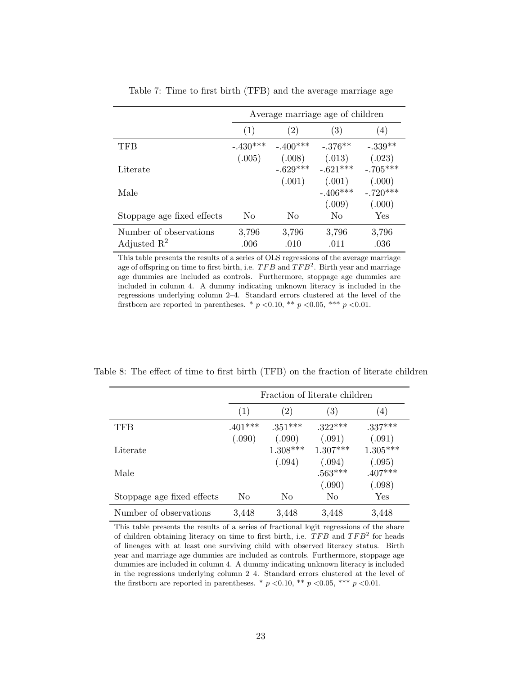<span id="page-25-0"></span>

|                                                   | Average marriage age of children |                      |                                |                                |  |  |  |  |  |  |
|---------------------------------------------------|----------------------------------|----------------------|--------------------------------|--------------------------------|--|--|--|--|--|--|
|                                                   | (1)                              | (2)                  | (3)                            | (4)                            |  |  |  |  |  |  |
| TFB                                               | $-.430***$                       | $-.400***$           | $-.376**$                      | $-.339**$                      |  |  |  |  |  |  |
| Literate                                          | (.005)                           | (.008)<br>$-.629***$ | (.013)<br>$-.621***$           | (.023)<br>$-.705***$           |  |  |  |  |  |  |
| Male                                              |                                  | (.001)               | (.001)<br>$-.406***$<br>(.009) | (.000)<br>$-.720***$<br>(.000) |  |  |  |  |  |  |
| Stoppage age fixed effects                        | No                               | No                   | N <sub>0</sub>                 | Yes                            |  |  |  |  |  |  |
| Number of observations<br>Adjusted $\mathbb{R}^2$ | 3,796<br>.006                    | 3,796<br>.010        | 3,796<br>.011                  | 3,796<br>.036                  |  |  |  |  |  |  |

Table 7: Time to first birth (TFB) and the average marriage age

This table presents the results of a series of OLS regressions of the average marriage age of offspring on time to first birth, i.e.  $TFB$  and  $TFB<sup>2</sup>$ . Birth year and marriage age dummies are included as controls. Furthermore, stoppage age dummies are included in column 4. A dummy indicating unknown literacy is included in the regressions underlying column 2–4. Standard errors clustered at the level of the firstborn are reported in parentheses. \*  $p < 0.10$ , \*\*  $p < 0.05$ , \*\*\*  $p < 0.01$ .

<span id="page-25-1"></span>Table 8: The effect of time to first birth (TFB) on the fraction of literate children

|                            |           | Fraction of literate children |                   |            |  |  |  |  |  |  |  |
|----------------------------|-----------|-------------------------------|-------------------|------------|--|--|--|--|--|--|--|
|                            | (1)       | $\left( 2\right)$             | $\left( 3\right)$ | (4)        |  |  |  |  |  |  |  |
| TFB                        | $.401***$ | $.351***$                     | $.322***$         | $.337***$  |  |  |  |  |  |  |  |
|                            | (.090)    | (.090)                        | (.091)            | (.091)     |  |  |  |  |  |  |  |
| Literate                   |           | $1.308***$                    | $1.307***$        | $1.305***$ |  |  |  |  |  |  |  |
|                            |           | (.094)                        | (.094)            | (.095)     |  |  |  |  |  |  |  |
| Male                       |           |                               | $.563***$         | $.407***$  |  |  |  |  |  |  |  |
|                            |           |                               | (.090)            | (.098)     |  |  |  |  |  |  |  |
| Stoppage age fixed effects | No        | No                            | No                | Yes        |  |  |  |  |  |  |  |
| Number of observations     | 3,448     | 3,448                         | 3,448             | 3,448      |  |  |  |  |  |  |  |

This table presents the results of a series of fractional logit regressions of the share of children obtaining literacy on time to first birth, i.e. *TFB* and *TFB*<sup>2</sup> for heads of lineages with at least one surviving child with observed literacy status. Birth year and marriage age dummies are included as controls. Furthermore, stoppage age dummies are included in column 4. A dummy indicating unknown literacy is included in the regressions underlying column 2–4. Standard errors clustered at the level of the firstborn are reported in parentheses. \*  $p < 0.10$ , \*\*  $p < 0.05$ , \*\*\*  $p < 0.01$ .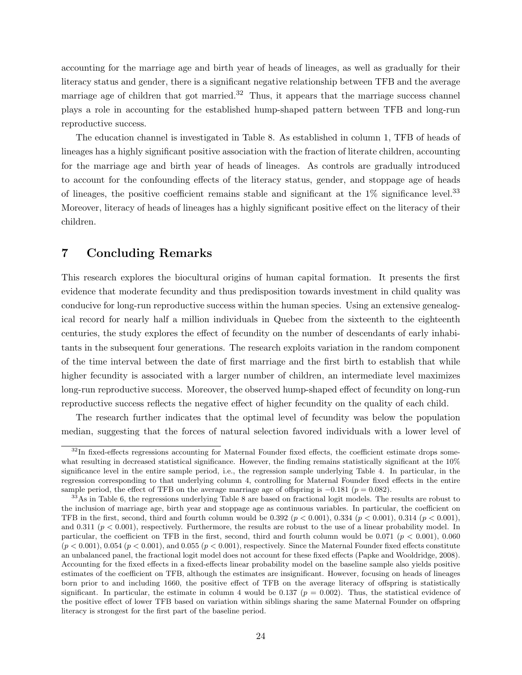accounting for the marriage age and birth year of heads of lineages, as well as gradually for their literacy status and gender, there is a significant negative relationship between TFB and the average marriage age of children that got married.<sup>32</sup> Thus, it appears that the marriage success channel plays a role in accounting for the established hump-shaped pattern between TFB and long-run reproductive success.

The education channel is investigated in Table [8.](#page-25-1) As established in column 1, TFB of heads of lineages has a highly significant positive association with the fraction of literate children, accounting for the marriage age and birth year of heads of lineages. As controls are gradually introduced to account for the confounding effects of the literacy status, gender, and stoppage age of heads of lineages, the positive coefficient remains stable and significant at the  $1\%$  significance level.<sup>33</sup> Moreover, literacy of heads of lineages has a highly significant positive effect on the literacy of their children.

### 7 Concluding Remarks

This research explores the biocultural origins of human capital formation. It presents the first evidence that moderate fecundity and thus predisposition towards investment in child quality was conducive for long-run reproductive success within the human species. Using an extensive genealogical record for nearly half a million individuals in Quebec from the sixteenth to the eighteenth centuries, the study explores the effect of fecundity on the number of descendants of early inhabitants in the subsequent four generations. The research exploits variation in the random component of the time interval between the date of first marriage and the first birth to establish that while higher fecundity is associated with a larger number of children, an intermediate level maximizes long-run reproductive success. Moreover, the observed hump-shaped effect of fecundity on long-run reproductive success reflects the negative effect of higher fecundity on the quality of each child.

The research further indicates that the optimal level of fecundity was below the population median, suggesting that the forces of natural selection favored individuals with a lower level of

 $32$ In fixed-effects regressions accounting for Maternal Founder fixed effects, the coefficient estimate drops somewhat resulting in decreased statistical significance. However, the finding remains statistically significant at the 10% significance level in the entire sample period, i.e., the regression sample underlying Table [4.](#page-20-0) In particular, in the regression corresponding to that underlying column 4, controlling for Maternal Founder fixed effects in the entire

sample period, the effect of TFB on the average marriage age of offspring is  $-0.181$  ( $p = 0.082$ ).<br><sup>33</sup>As in Table [6,](#page-24-0) the regressions underlying Table [8](#page-25-1) are based on fractional logit models. The results are robust to the inclusion of marriage age, birth year and stoppage age as continuous variables. In particular, the coefficient on TFB in the first, second, third and fourth column would be 0*.*392 (*p <* 0*.*001), 0*.*334 (*p <* 0*.*001), 0*.*314 (*p <* 0*.*001), and 0*.*311 (*p <* 0*.*001), respectively. Furthermore, the results are robust to the use of a linear probability model. In particular, the coefficient on TFB in the first, second, third and fourth column would be 0.071 ( $p < 0.001$ ), 0.060  $(p < 0.001)$ , 0.054  $(p < 0.001)$ , and 0.055  $(p < 0.001)$ , respectively. Since the Maternal Founder fixed effects constitute an unbalanced panel, the fractional logit model does not account for these fixed effects [\(Papke and Wooldridge, 2008\)](#page-38-12). Accounting for the fixed effects in a fixed-effects linear probability model on the baseline sample also yields positive estimates of the coefficient on TFB, although the estimates are insignificant. However, focusing on heads of lineages born prior to and including 1660, the positive effect of TFB on the average literacy of offspring is statistically significant. In particular, the estimate in column 4 would be 0.137 ( $p = 0.002$ ). Thus, the statistical evidence of the positive effect of lower TFB based on variation within siblings sharing the same Maternal Founder on offspring literacy is strongest for the first part of the baseline period.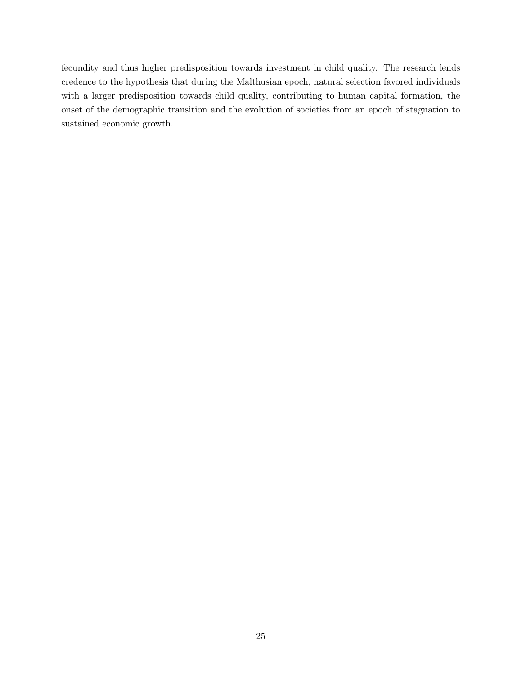fecundity and thus higher predisposition towards investment in child quality. The research lends credence to the hypothesis that during the Malthusian epoch, natural selection favored individuals with a larger predisposition towards child quality, contributing to human capital formation, the onset of the demographic transition and the evolution of societies from an epoch of stagnation to sustained economic growth.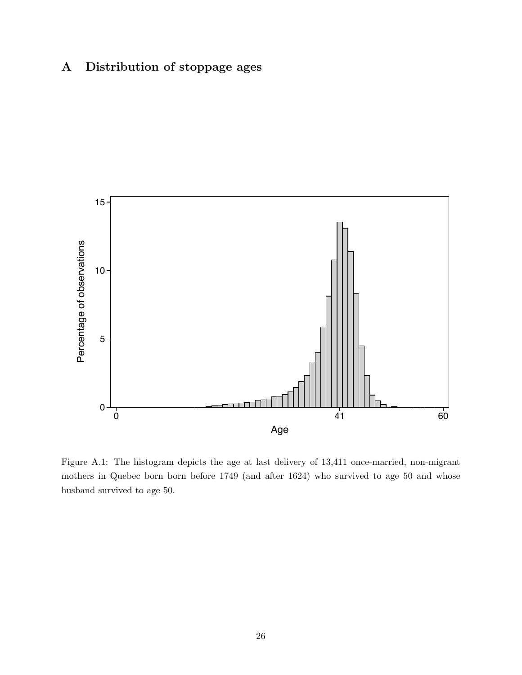## A Distribution of stoppage ages



Figure A.1: The histogram depicts the age at last delivery of 13,411 once-married, non-migrant mothers in Quebec born born before 1749 (and after 1624) who survived to age 50 and whose husband survived to age 50.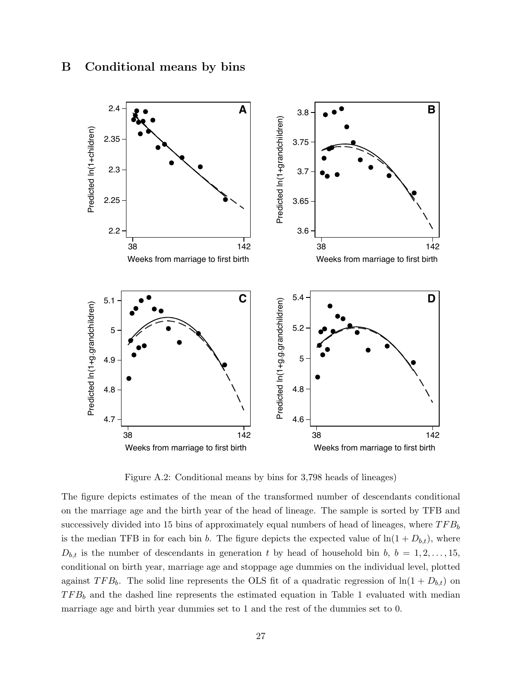

Figure A.2: Conditional means by bins for 3,798 heads of lineages)

The figure depicts estimates of the mean of the transformed number of descendants conditional on the marriage age and the birth year of the head of lineage. The sample is sorted by TFB and successively divided into 15 bins of approximately equal numbers of head of lineages, where *TFB<sup>b</sup>* is the median TFB in for each bin *b*. The figure depicts the expected value of  $\ln(1 + D_{b,t})$ , where  $D_{b,t}$  is the number of descendants in generation *t* by head of household bin *b*,  $b = 1, 2, \ldots, 15$ , conditional on birth year, marriage age and stoppage age dummies on the individual level, plotted against  $TFB_b$ . The solid line represents the OLS fit of a quadratic regression of  $\ln(1 + D_{b,t})$  on *TFB<sup>b</sup>* and the dashed line represents the estimated equation in Table [1](#page-14-0) evaluated with median marriage age and birth year dummies set to 1 and the rest of the dummies set to 0.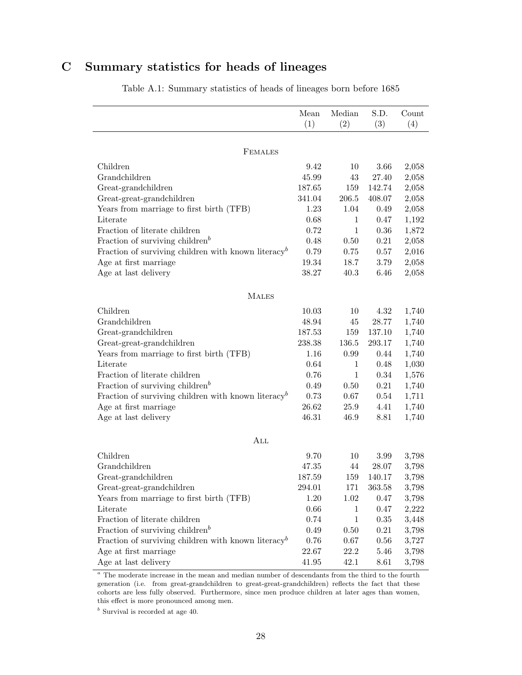## C Summary statistics for heads of lineages

|                                                                 | Mean     | Median       | S.D.     | Count |
|-----------------------------------------------------------------|----------|--------------|----------|-------|
|                                                                 | (1)      | (2)          | (3)      | (4)   |
|                                                                 |          |              |          |       |
| <b>FEMALES</b>                                                  |          |              |          |       |
| Children                                                        | 9.42     | 10           | 3.66     | 2,058 |
| Grandchildren                                                   | 45.99    | 43           | 27.40    | 2,058 |
| Great-grandchildren                                             | 187.65   | 159          | 142.74   | 2,058 |
| Great-great-grandchildren                                       | 341.04   | 206.5        | 408.07   | 2,058 |
| Years from marriage to first birth (TFB)                        | 1.23     | 1.04         | 0.49     | 2,058 |
| Literate                                                        | 0.68     | $\mathbf{1}$ | 0.47     | 1,192 |
| Fraction of literate children                                   | 0.72     | $\mathbf{1}$ | 0.36     | 1,872 |
| Fraction of surviving children <sup>b</sup>                     | 0.48     | 0.50         | 0.21     | 2,058 |
| Fraction of surviving children with known literacy <sup>b</sup> | 0.79     | 0.75         | 0.57     | 2,016 |
| Age at first marriage                                           | 19.34    | 18.7         | 3.79     | 2,058 |
| Age at last delivery                                            | 38.27    | 40.3         | 6.46     | 2,058 |
|                                                                 |          |              |          |       |
| <b>MALES</b>                                                    |          |              |          |       |
| Children                                                        | 10.03    | 10           | $4.32\,$ | 1,740 |
| Grandchildren                                                   | 48.94    | 45           | 28.77    | 1,740 |
| Great-grandchildren                                             | 187.53   | 159          | 137.10   | 1,740 |
| Great-great-grandchildren                                       | 238.38   | 136.5        | 293.17   | 1,740 |
| Years from marriage to first birth (TFB)                        | 1.16     | 0.99         | 0.44     | 1,740 |
| Literate                                                        | 0.64     | $\mathbf{1}$ | 0.48     | 1,030 |
| Fraction of literate children                                   | 0.76     | $\mathbf{1}$ | 0.34     | 1,576 |
| Fraction of surviving children <sup><math>b</math></sup>        | 0.49     | 0.50         | 0.21     | 1,740 |
| Fraction of surviving children with known literacy <sup>b</sup> | 0.73     | 0.67         | 0.54     | 1,711 |
| Age at first marriage                                           | 26.62    | 25.9         | 4.41     | 1,740 |
| Age at last delivery                                            | 46.31    | 46.9         | 8.81     | 1,740 |
|                                                                 |          |              |          |       |
| ALL                                                             |          |              |          |       |
| Children                                                        | 9.70     | 10           | 3.99     | 3,798 |
| Grandchildren                                                   | 47.35    | 44           | 28.07    | 3,798 |
| Great-grandchildren                                             | 187.59   | 159          | 140.17   | 3,798 |
| Great-great-grandchildren                                       | 294.01   | 171          | 363.58   | 3,798 |
| Years from marriage to first birth (TFB)                        | 1.20     | 1.02         | 0.47     | 3,798 |
| Literate                                                        | $0.66\,$ | $\mathbf 1$  | 0.47     | 2,222 |
| Fraction of literate children                                   | 0.74     | $\mathbf{1}$ | 0.35     | 3,448 |
| Fraction of surviving children <sup>b</sup>                     | 0.49     | 0.50         | 0.21     | 3,798 |
| Fraction of surviving children with known literacy <sup>b</sup> | $0.76\,$ | 0.67         | 0.56     | 3,727 |
| Age at first marriage                                           | 22.67    | 22.2         | 5.46     | 3,798 |
| Age at last delivery                                            | 41.95    | 42.1         | 8.61     | 3,798 |

Table A.1: Summary statistics of heads of lineages born before 1685

<sup>a</sup> The moderate increase in the mean and median number of descendants from the third to the fourth generation (i.e. from great-grandchildren to great-great-grandchildren) reflects the fact that these cohorts are less fully observed. Furthermore, since men produce children at later ages than women, this effect is more pronounced among men.

*<sup>b</sup>* Survival is recorded at age 40.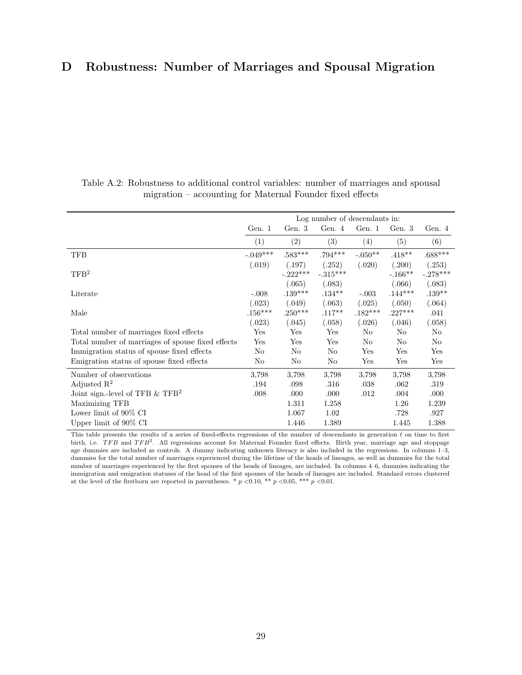## D Robustness: Number of Marriages and Spousal Migration

|                                                   |                     |                      | Log number of descendants in: |                     |                     |                      |
|---------------------------------------------------|---------------------|----------------------|-------------------------------|---------------------|---------------------|----------------------|
|                                                   | Gen. 1              | Gen. 3               | Gen. 4                        | Gen. 1              | Gen. 3              | Gen. 4               |
|                                                   | (1)                 | (2)                  | (3)                           | (4)                 | (5)                 | (6)                  |
| <b>TFB</b>                                        | $-.049***$          | $.583***$            | $.794***$                     | $-.050**$           | $.418***$           | $.688***$            |
| TFB <sup>2</sup>                                  | (.019)              | (.197)<br>$-.222***$ | (.252)<br>$-.315***$          | (.020)              | (.200)<br>$-.166**$ | (.253)<br>$-.278***$ |
| Literate                                          | $-.008$             | (.065)<br>$.139***$  | (.083)<br>$.134***$           | $-.003$             | (.066)<br>$.144***$ | (.083)<br>$.139***$  |
| Male                                              | (.023)<br>$.156***$ | (.049)<br>$.250***$  | (.063)<br>$.117***$           | (.025)<br>$.182***$ | (.050)<br>$.227***$ | (.064)<br>.041       |
|                                                   | (.023)              | (.045)               | (.058)                        | (.026)              | (.046)              | (.058)               |
| Total number of marriages fixed effects           | Yes                 | Yes                  | Yes                           | No                  | No                  | No                   |
| Total number of marriages of spouse fixed effects | $_{\rm Yes}$        | $_{\rm Yes}$         | Yes                           | No                  | N <sub>o</sub>      | No                   |
| Immigration status of spouse fixed effects        | No                  | No                   | No                            | Yes                 | Yes                 | Yes                  |
| Emigration status of spouse fixed effects         | No                  | No                   | No                            | Yes                 | Yes                 | Yes                  |
| Number of observations                            | 3,798               | 3,798                | 3,798                         | 3,798               | 3,798               | 3,798                |
| Adjusted $\mathbb{R}^2$                           | .194                | .098                 | .316                          | .038                | .062                | .319                 |
| Joint sign.-level of TFB $&$ TFB <sup>2</sup>     | .008                | .000                 | .000                          | .012                | .004                | .000                 |
| Maximizing TFB                                    |                     | 1.311                | 1.258                         |                     | 1.26                | 1.239                |
| Lower limit of $90\%$ CI                          |                     | 1.067                | 1.02                          |                     | .728                | .927                 |
| Upper limit of $90\%$ CI                          |                     | 1.446                | 1.389                         |                     | 1.445               | 1.388                |

Table A.2: Robustness to additional control variables: number of marriages and spousal migration – accounting for Maternal Founder fixed effects

This table presents the results of a series of fixed-effects regressions of the number of descendants in generation  $t$  on time to first birth, i.e. *TFB* and *TFB*<sup>2</sup>. All regressions account for Maternal Founder fixed effects. Birth year, marriage age and stoppage age dummies are included as controls. A dummy indicating unknown literacy is also included in the regressions. In columns 1–3, dummies for the total number of marriages experienced during the lifetime of the heads of lineages, as well as dummies for the total number of marriages experienced by the first spouses of the heads of lineages, are included. In columns 4–6, dummies indicating the immigration and emigration statuses of the head of the first spouses of the heads of lineages are included. Standard errors clustered at the level of the firstborn are reported in parentheses. \*  $p < 0.10$ , \*\*  $p < 0.05$ , \*\*\*  $p < 0.01$ .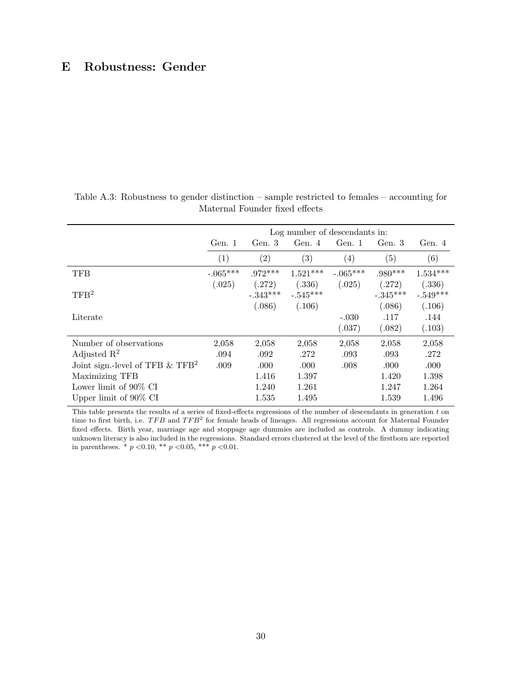## E Robustness: Gender

|                                                | Log number of descendants in: |                      |                      |                   |                          |                          |  |  |  |
|------------------------------------------------|-------------------------------|----------------------|----------------------|-------------------|--------------------------|--------------------------|--|--|--|
|                                                | Gen. 1                        | Gen. 3               | Gen. 4               | Gen. 1            | Gen. 3                   | Gen. 4                   |  |  |  |
|                                                | (1)                           | (2)                  | (3)                  | $\left( 4\right)$ | (5)                      | (6)                      |  |  |  |
| <b>TFB</b>                                     | $-.065***$                    | $.972***$            | $1.521***$           | $-.065***$        | $.980***$                | $1.534***$               |  |  |  |
| TFB <sup>2</sup>                               | (.025)                        | (.272)<br>$-.343***$ | (.336)<br>$-.545***$ | (.025)            | (.272)<br>$-.345***$     | (.336)<br>$-.549***$     |  |  |  |
| Literate                                       |                               | (.086)               | (.106)               | $-.030$<br>(.037) | (.086)<br>.117<br>(.082) | (.106)<br>.144<br>(.103) |  |  |  |
| Number of observations                         | 2,058                         | 2,058                | 2,058                | 2,058             | 2,058                    | 2,058                    |  |  |  |
| Adjusted $\mathbb{R}^2$                        | .094                          | .092                 | .272                 | .093              | .093                     | .272                     |  |  |  |
| Joint sign.-level of TFB $\&$ TFB <sup>2</sup> | .009                          | .000                 | .000                 | .008              | .000                     | .000                     |  |  |  |
| Maximizing TFB                                 |                               | 1.416                | 1.397                |                   | 1.420                    | 1.398                    |  |  |  |
| Lower limit of 90% CI                          |                               | 1.240                | 1.261                |                   | 1.247                    | 1.264                    |  |  |  |
| Upper limit of $90\%$ CI                       |                               | 1.535                | 1.495                |                   | 1.539                    | 1.496                    |  |  |  |

Table A.3: Robustness to gender distinction – sample restricted to females – accounting for Maternal Founder fixed effects

This table presents the results of a series of fixed-effects regressions of the number of descendants in generation  $t$  on time to first birth, i.e. *TFB* and *TFB*<sup>2</sup> for female heads of lineages. All regressions account for Maternal Founder fixed effects. Birth year, marriage age and stoppage age dummies are included as controls. A dummy indicating unknown literacy is also included in the regressions. Standard errors clustered at the level of the firstborn are reported in parentheses. \* *p <*0.10, \*\* *p <*0.05, \*\*\* *p <*0.01.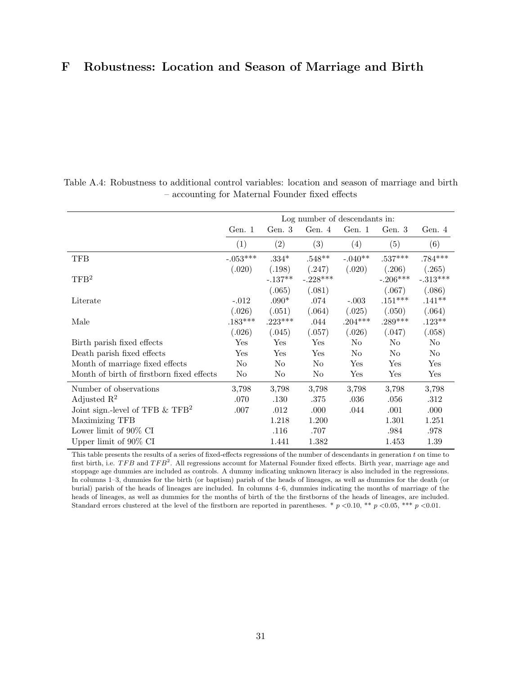## F Robustness: Location and Season of Marriage and Birth

|                                               | Log number of descendants in: |                |            |           |            |             |  |  |  |  |
|-----------------------------------------------|-------------------------------|----------------|------------|-----------|------------|-------------|--|--|--|--|
|                                               | Gen. $1$                      | Gen. 3         | Gen. 4     | Gen. 1    | Gen. 3     | Gen. 4      |  |  |  |  |
|                                               | (1)                           | (2)            | (3)        | (4)       | (5)        | (6)         |  |  |  |  |
| TFB                                           | $-.053***$                    | $.334*$        | $.548**$   | $-.040**$ | $.537***$  | $.784***$   |  |  |  |  |
|                                               | (.020)                        | (.198)         | (.247)     | (.020)    | (.206)     | (.265)      |  |  |  |  |
| TFB <sup>2</sup>                              |                               | $-.137**$      | $-.228***$ |           | $-.206***$ | $-.313***$  |  |  |  |  |
|                                               |                               | (.065)         | (.081)     |           | (.067)     | (.086)      |  |  |  |  |
| Literate                                      | $-.012$                       | $.090*$        | .074       | $-.003$   | $.151***$  | $.141**$    |  |  |  |  |
|                                               | (.026)                        | (.051)         | (.064)     | (.025)    | (.050)     | (.064)      |  |  |  |  |
| Male                                          | $.183***$                     | $.223***$      | .044       | $.204***$ | $.289***$  | $.123**$    |  |  |  |  |
|                                               | (.026)                        | (.045)         | (.057)     | (.026)    | (.047)     | (.058)      |  |  |  |  |
| Birth parish fixed effects                    | Yes                           | Yes            | Yes        | No        | No         | No          |  |  |  |  |
| Death parish fixed effects                    | Yes                           | Yes            | Yes        | No        | No         | No          |  |  |  |  |
| Month of marriage fixed effects               | No                            | No             | No         | Yes       | Yes        | Yes         |  |  |  |  |
| Month of birth of firstborn fixed effects     | N <sub>0</sub>                | N <sub>0</sub> | No         | Yes       | Yes        | ${\rm Yes}$ |  |  |  |  |
| Number of observations                        | 3.798                         | 3,798          | 3,798      | 3.798     | 3.798      | 3,798       |  |  |  |  |
| Adjusted $\mathbb{R}^2$                       | .070                          | .130           | .375       | .036      | .056       | .312        |  |  |  |  |
| Joint sign.-level of TFB $&$ TFB <sup>2</sup> | .007                          | .012           | .000.      | .044      | .001       | .000        |  |  |  |  |
| Maximizing TFB                                |                               | 1.218          | 1.200      |           | 1.301      | 1.251       |  |  |  |  |
| Lower limit of 90% CI                         |                               | .116           | .707       |           | .984       | .978        |  |  |  |  |
| Upper limit of $90\%$ CI                      |                               | 1.441          | 1.382      |           | 1.453      | 1.39        |  |  |  |  |

Table A.4: Robustness to additional control variables: location and season of marriage and birth  $-$  accounting for Maternal Founder fixed effects

This table presents the results of a series of fixed-effects regressions of the number of descendants in generation  $t$  on time to first birth, i.e. *TFB* and *TFB*<sup>2</sup>. All regressions account for Maternal Founder fixed effects. Birth year, marriage age and stoppage age dummies are included as controls. A dummy indicating unknown literacy is also included in the regressions. In columns 1–3, dummies for the birth (or baptism) parish of the heads of lineages, as well as dummies for the death (or burial) parish of the heads of lineages are included. In columns 4–6, dummies indicating the months of marriage of the heads of lineages, as well as dummies for the months of birth of the the firstborns of the heads of lineages, are included. Standard errors clustered at the level of the firstborn are reported in parentheses. \* *p <*0.10, \*\* *p <*0.05, \*\*\* *p <*0.01.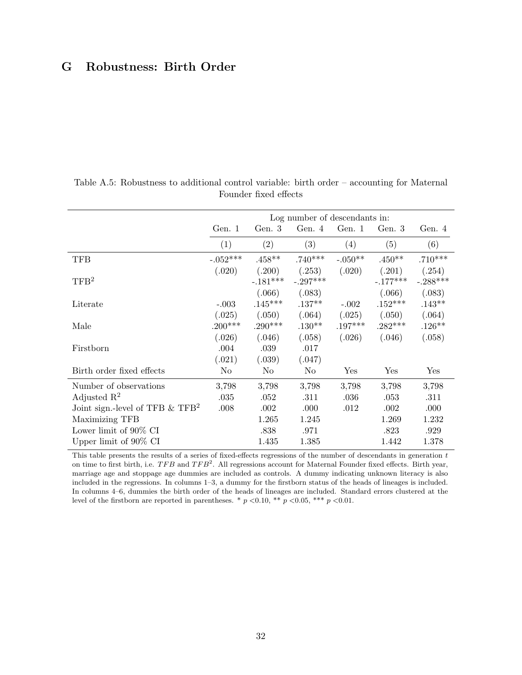## G Robustness: Birth Order

|                                               | Log number of descendants in: |            |            |           |            |            |  |  |  |
|-----------------------------------------------|-------------------------------|------------|------------|-----------|------------|------------|--|--|--|
|                                               | Gen. 1                        | Gen. $3$   | Gen. 4     | Gen. 1    | Gen. 3     | Gen. 4     |  |  |  |
|                                               | (1)                           | (2)        | (3)        | (4)       | (5)        | (6)        |  |  |  |
| TFB                                           | $-.052***$                    | $.458**$   | $.740***$  | $-.050**$ | $.450**$   | $.710***$  |  |  |  |
|                                               | (.020)                        | (.200)     | (.253)     | (.020)    | (.201)     | (.254)     |  |  |  |
| TFB <sup>2</sup>                              |                               | $-.181***$ | $-.297***$ |           | $-.177***$ | $-.288***$ |  |  |  |
|                                               |                               | (.066)     | (.083)     |           | (.066)     | (.083)     |  |  |  |
| Literate                                      | $-.003$                       | $.145***$  | $.137**$   | $-.002$   | $.152***$  | $.143**$   |  |  |  |
|                                               | (.025)                        | (.050)     | (.064)     | (.025)    | (.050)     | (.064)     |  |  |  |
| Male                                          | $.200***$                     | $.290***$  | $.130**$   | $.197***$ | $.282***$  | $.126**$   |  |  |  |
|                                               | (.026)                        | (.046)     | (.058)     | (.026)    | (.046)     | (.058)     |  |  |  |
| Firstborn                                     | .004                          | .039       | .017       |           |            |            |  |  |  |
|                                               | (.021)                        | (.039)     | (.047)     |           |            |            |  |  |  |
| Birth order fixed effects                     | No                            | No         | No         | Yes       | Yes        | Yes        |  |  |  |
| Number of observations                        | 3,798                         | 3,798      | 3,798      | 3,798     | 3,798      | 3,798      |  |  |  |
| Adjusted $\mathbb{R}^2$                       | .035                          | .052       | .311       | .036      | .053       | .311       |  |  |  |
| Joint sign.-level of TFB $&$ TFB <sup>2</sup> | .008                          | .002       | .000       | .012      | .002       | .000       |  |  |  |
| Maximizing TFB                                |                               | 1.265      | 1.245      |           | 1.269      | 1.232      |  |  |  |
| Lower limit of 90% CI                         |                               | .838       | .971       |           | .823       | .929       |  |  |  |
| Upper limit of $90\%$ CI                      |                               | 1.435      | 1.385      |           | 1.442      | 1.378      |  |  |  |

Table A.5: Robustness to additional control variable: birth order – accounting for Maternal Founder fixed effects

This table presents the results of a series of fixed-effects regressions of the number of descendants in generation  $t$ on time to first birth, i.e.  $TFB$  and  $TFB<sup>2</sup>$ . All regressions account for Maternal Founder fixed effects. Birth year, marriage age and stoppage age dummies are included as controls. A dummy indicating unknown literacy is also included in the regressions. In columns 1–3, a dummy for the firstborn status of the heads of lineages is included. In columns 4–6, dummies the birth order of the heads of lineages are included. Standard errors clustered at the level of the firstborn are reported in parentheses. \*  $p \lt 0.10$ , \*\*  $p \lt 0.05$ , \*\*\*  $p \lt 0.01$ .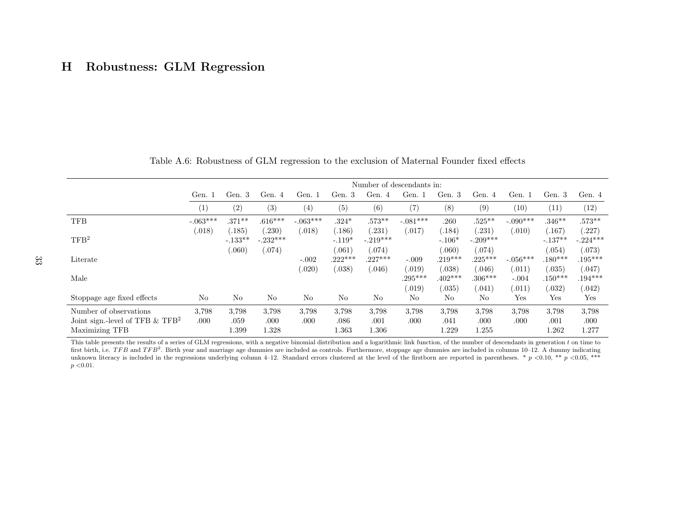## H Robustness: GLM Regression

|                                               | Number of descendants in: |                     |                     |            |                     |                      |                     |                     |                          |                   |                     |                        |
|-----------------------------------------------|---------------------------|---------------------|---------------------|------------|---------------------|----------------------|---------------------|---------------------|--------------------------|-------------------|---------------------|------------------------|
|                                               | Gen. 1                    | Gen. 3              | Gen. 4              | Gen. 1     | Gen. 3              | Gen. 4               | Gen. 1              | Gen. 3              | Gen. 4                   | Gen. 1            | Gen. 3              | Gen. 4                 |
|                                               | (1)                       | (2)                 | (3)                 | (4)        | (5)                 | (6)                  | (7)                 | (8)                 | (9)                      | (10)              | (11)                | (12)                   |
| <b>TFB</b>                                    | $-.063***$                | $.371***$           | $.616***$           | $-.063***$ | $.324*$             | $.573**$             | $-.081***$          | .260                | $.525**$                 | $-.090***$        | $.346**$            | $.573**$               |
| TFB <sup>2</sup>                              | (.018)                    | (.185)<br>$-.133**$ | (230)<br>$-.232***$ | (.018)     | (.186)<br>$-.119*$  | (.231)<br>$-.219***$ | (.017)              | (.184)<br>$-.106*$  | (.231)<br>$-.209***$     | (.010)            | (.167)<br>$-.137**$ | (227)<br>$-.224***$    |
| Literate                                      |                           | (.060)              | (.074)              | $-.002$    | (.061)<br>$.222***$ | (.074)<br>$.227***$  | $-.009$             | 060)<br>$.219***$   | (.074)<br>$.225***$      | $-.056***$        | (.054)<br>$.180***$ | (.073)<br>$.195***$    |
| Male                                          |                           |                     |                     | (.020)     | (.038)              | (.046)               | 0.019)<br>$.295***$ | (.038)<br>$.402***$ | (.046)<br>$.306***$      | (.011)<br>$-.004$ | (.035)<br>$.150***$ | (.047)<br>$.194***$    |
| Stoppage age fixed effects                    | No                        | $\rm No$            | N <sub>o</sub>      | No         | No                  | No                   | (0.019)<br>No       | 0.035)<br>No        | (.041)<br>N <sub>o</sub> | (.011)<br>Yes     | (.032)<br>Yes       | (.042)<br>$_{\rm Yes}$ |
| Number of observations                        | 3.798                     | 3.798               | 3,798               | 3,798      | 3,798               | 3.798                | 3.798               | 3,798               | 3.798                    | 3.798             | 3,798               | 3,798                  |
| Joint sign.-level of TFB $&$ TFB <sup>2</sup> | .000                      | .059                | .000                | .000       | .086                | .001                 | .000                | .041                | .000                     | .000              | .001                | .000                   |
| Maximizing TFB                                |                           | 1.399               | 1.328               |            | $1.363\,$           | $1.306\,$            |                     | 1.229               | .255                     |                   | 1.262               | 1.277                  |

Table A.6: Robustness of GLM regression to the exclusion of Maternal Founder fixed effects

This table presents the results of a series of GLM regressions, with a negative binomial distribution and a logarithmic link function, of the number of descendants in generation *t* on time to first birth, i.e.  $TFB$  and  $TFB<sup>2</sup>$ . Birth year and marriage age dummies are included as controls. Furthermore, stoppage age dummies are included in columns 10–12. A dummy indicating unknown literacy is included in the regressions underlying column 4–12. Standard errors clustered at the level of the firstborn are reported in parentheses. \*  $p < 0.10$ , \*\*  $p < 0.05$ , \*\*\* *p <*0.01.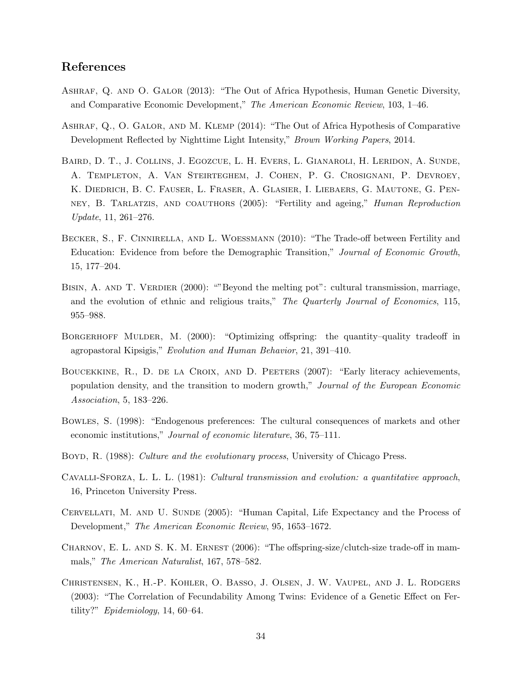## References

- <span id="page-36-4"></span>Ashraf, Q. and O. Galor (2013): "The Out of Africa Hypothesis, Human Genetic Diversity, and Comparative Economic Development," *The American Economic Review*, 103, 1–46.
- <span id="page-36-5"></span>Ashraf, Q., O. Galor, and M. Klemp (2014): "The Out of Africa Hypothesis of Comparative Development Reflected by Nighttime Light Intensity," *Brown Working Papers*, 2014.
- <span id="page-36-10"></span>Baird, D. T., J. Collins, J. Egozcue, L. H. Evers, L. Gianaroli, H. Leridon, A. Sunde, A. Templeton, A. Van Steirteghem, J. Cohen, P. G. Crosignani, P. Devroey, K. Diedrich, B. C. Fauser, L. Fraser, A. Glasier, I. Liebaers, G. Mautone, G. Penney, B. Tarlatzis, and coauthors (2005): "Fertility and ageing," *Human Reproduction Update*, 11, 261–276.
- <span id="page-36-7"></span>BECKER, S., F. CINNIRELLA, AND L. WOESSMANN (2010): "The Trade-off between Fertility and Education: Evidence from before the Demographic Transition," *Journal of Economic Growth*, 15, 177–204.
- <span id="page-36-3"></span>BISIN, A. AND T. VERDIER (2000): "Beyond the melting pot": cultural transmission, marriage, and the evolution of ethnic and religious traits," *The Quarterly Journal of Economics*, 115, 955–988.
- <span id="page-36-8"></span>BORGERHOFF MULDER, M. (2000): "Optimizing offspring: the quantity-quality tradeoff in agropastoral Kipsigis," *Evolution and Human Behavior*, 21, 391–410.
- <span id="page-36-12"></span>BOUCEKKINE, R., D. DE LA CROIX, AND D. PEETERS (2007): "Early literacy achievements, population density, and the transition to modern growth," *Journal of the European Economic Association*, 5, 183–226.
- <span id="page-36-2"></span>Bowles, S. (1998): "Endogenous preferences: The cultural consequences of markets and other economic institutions," *Journal of economic literature*, 36, 75–111.
- <span id="page-36-1"></span>Boyd, R. (1988): *Culture and the evolutionary process*, University of Chicago Press.
- <span id="page-36-0"></span>Cavalli-Sforza, L. L. L. (1981): *Cultural transmission and evolution: a quantitative approach*, 16, Princeton University Press.
- <span id="page-36-11"></span>CERVELLATI, M. AND U. SUNDE (2005): "Human Capital, Life Expectancy and the Process of Development," *The American Economic Review*, 95, 1653–1672.
- <span id="page-36-6"></span>CHARNOV, E. L. AND S. K. M. ERNEST  $(2006)$ : "The offspring-size/clutch-size trade-off in mammals," *The American Naturalist*, 167, 578–582.
- <span id="page-36-9"></span>Christensen, K., H.-P. Kohler, O. Basso, J. Olsen, J. W. Vaupel, and J. L. Rodgers  $(2003)$ : "The Correlation of Fecundability Among Twins: Evidence of a Genetic Effect on Fertility?" *Epidemiology*, 14, 60–64.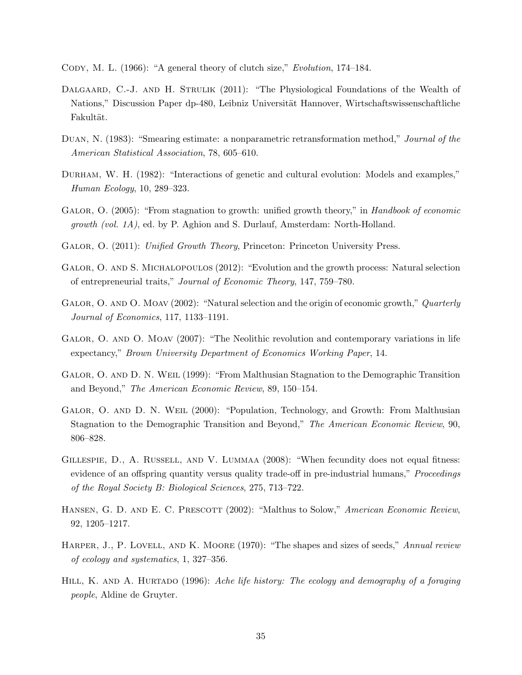<span id="page-37-10"></span>Cody, M. L. (1966): "A general theory of clutch size," *Evolution*, 174–184.

- <span id="page-37-7"></span>DALGAARD, C.-J. AND H. STRULIK (2011): "The Physiological Foundations of the Wealth of Nations," Discussion Paper dp-480, Leibniz Universität Hannover, Wirtschaftswissenschaftliche Fakultät.
- <span id="page-37-14"></span>Duan, N. (1983): "Smearing estimate: a nonparametric retransformation method," *Journal of the American Statistical Association*, 78, 605–610.
- <span id="page-37-5"></span>Durham, W. H. (1982): "Interactions of genetic and cultural evolution: Models and examples," *Human Ecology*, 10, 289–323.
- <span id="page-37-6"></span>Galor, O. (2005): "From stagnation to growth: unified growth theory," in *Handbook of economic growth (vol. 1A)*, ed. by P. Aghion and S. Durlauf, Amsterdam: North-Holland.
- <span id="page-37-4"></span>Galor, O. (2011): *Unified Growth Theory*, Princeton: Princeton University Press.
- <span id="page-37-8"></span>GALOR, O. AND S. MICHALOPOULOS (2012): "Evolution and the growth process: Natural selection of entrepreneurial traits," *Journal of Economic Theory*, 147, 759–780.
- <span id="page-37-0"></span>GALOR, O. AND O. MOAV (2002): "Natural selection and the origin of economic growth," *Quarterly Journal of Economics*, 117, 1133–1191.
- <span id="page-37-9"></span>GALOR, O. AND O. MOAV (2007): "The Neolithic revolution and contemporary variations in life expectancy," *Brown University Department of Economics Working Paper*, 14.
- <span id="page-37-1"></span>Galor, O. and D. N. Weil (1999): "From Malthusian Stagnation to the Demographic Transition and Beyond," *The American Economic Review*, 89, 150–154.
- <span id="page-37-2"></span>Galor, O. and D. N. Weil (2000): "Population, Technology, and Growth: From Malthusian Stagnation to the Demographic Transition and Beyond," *The American Economic Review*, 90, 806–828.
- <span id="page-37-13"></span>GILLESPIE, D., A. RUSSELL, AND V. LUMMAA (2008): "When fecundity does not equal fitness: evidence of an offspring quantity versus quality trade-off in pre-industrial humans," *Proceedings of the Royal Society B: Biological Sciences*, 275, 713–722.
- <span id="page-37-3"></span>HANSEN, G. D. AND E. C. PRESCOTT (2002): "Malthus to Solow," *American Economic Review*, 92, 1205–1217.
- <span id="page-37-11"></span>HARPER, J., P. LOVELL, AND K. MOORE (1970): "The shapes and sizes of seeds," *Annual review of ecology and systematics*, 1, 327–356.
- <span id="page-37-12"></span>HILL, K. AND A. HURTADO (1996): *Ache life history: The ecology and demography of a foraging people*, Aldine de Gruyter.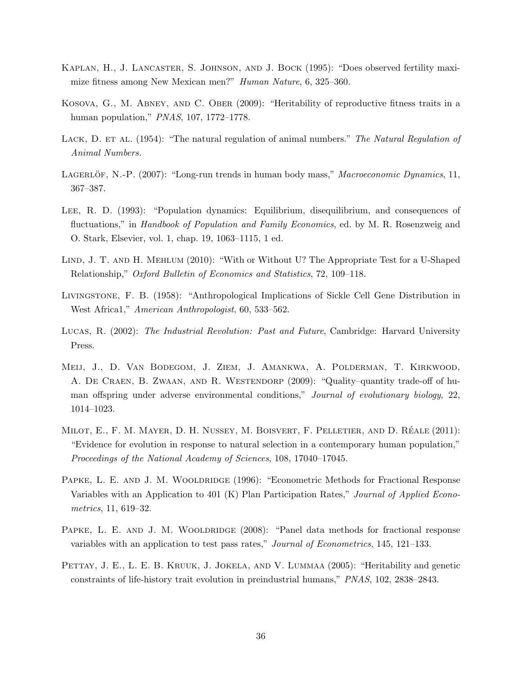- <span id="page-38-6"></span>Kaplan, H., J. Lancaster, S. Johnson, and J. Bock (1995): "Does observed fertility maximize fitness among New Mexican men?" *Human Nature*, 6, 325–360.
- <span id="page-38-8"></span>Kosova, G., M. Abney, and C. Ober (2009): "Heritability of reproductive fitness traits in a human population," *PNAS*, 107, 1772–1778.
- <span id="page-38-3"></span>LACK, D. ET AL. (1954): "The natural regulation of animal numbers." *The Natural Regulation of Animal Numbers.*
- <span id="page-38-2"></span>LAGERLÖF, N.-P. (2007): "Long-run trends in human body mass," *Macroeconomic Dynamics*, 11, 367–387.
- <span id="page-38-4"></span>Lee, R. D. (1993): "Population dynamics: Equilibrium, disequilibrium, and consequences of fluctuations," in *Handbook of Population and Family Economics*, ed. by M. R. Rosenzweig and O. Stark, Elsevier, vol. 1, chap. 19, 1063–1115, 1 ed.
- <span id="page-38-10"></span>LIND, J. T. AND H. MEHLUM (2010): "With or Without U? The Appropriate Test for a U-Shaped Relationship," *Oxford Bulletin of Economics and Statistics*, 72, 109–118.
- <span id="page-38-1"></span>Livingstone, F. B. (1958): "Anthropological Implications of Sickle Cell Gene Distribution in West Africa1," *American Anthropologist*, 60, 533–562.
- <span id="page-38-0"></span>Lucas, R. (2002): *The Industrial Revolution: Past and Future*, Cambridge: Harvard University Press.
- <span id="page-38-5"></span>Meij, J., D. Van Bodegom, J. Ziem, J. Amankwa, A. Polderman, T. Kirkwood, A. DE CRAEN, B. ZWAAN, AND R. WESTENDORP (2009): "Quality-quantity trade-off of human offspring under adverse environmental conditions," *Journal of evolutionary biology*, 22, 1014–1023.
- <span id="page-38-9"></span>MILOT, E., F. M. MAYER, D. H. NUSSEY, M. BOISVERT, F. PELLETIER, AND D. RÉALE (2011): "Evidence for evolution in response to natural selection in a contemporary human population," *Proceedings of the National Academy of Sciences*, 108, 17040–17045.
- <span id="page-38-11"></span>PAPKE, L. E. AND J. M. WOOLDRIDGE (1996): "Econometric Methods for Fractional Response Variables with an Application to 401 (K) Plan Participation Rates," *Journal of Applied Econometrics*, 11, 619–32.
- <span id="page-38-12"></span>PAPKE, L. E. AND J. M. WOOLDRIDGE (2008): "Panel data methods for fractional response variables with an application to test pass rates," *Journal of Econometrics*, 145, 121–133.
- <span id="page-38-7"></span>PETTAY, J. E., L. E. B. KRUUK, J. JOKELA, AND V. LUMMAA (2005): "Heritability and genetic constraints of life-history trait evolution in preindustrial humans," *PNAS*, 102, 2838–2843.